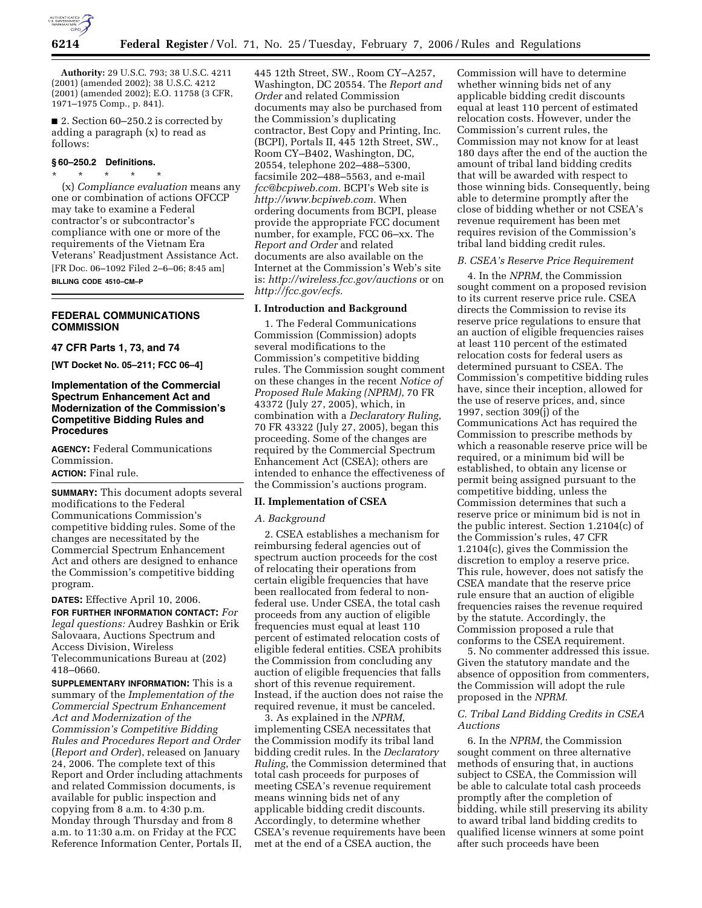

**Authority:** 29 U.S.C. 793; 38 U.S.C. 4211 (2001) (amended 2002); 38 U.S.C. 4212 (2001) (amended 2002); E.O. 11758 (3 CFR, 1971–1975 Comp., p. 841).

■ 2. Section 60–250.2 is corrected by adding a paragraph (x) to read as follows:

#### **§ 60–250.2 Definitions.**  \* \* \* \* \*

(x) *Compliance evaluation* means any one or combination of actions OFCCP may take to examine a Federal contractor's or subcontractor's compliance with one or more of the requirements of the Vietnam Era Veterans' Readjustment Assistance Act. [FR Doc. 06–1092 Filed 2–6–06; 8:45 am] **BILLING CODE 4510–CM–P** 

# **FEDERAL COMMUNICATIONS COMMISSION**

## **47 CFR Parts 1, 73, and 74**

**[WT Docket No. 05–211; FCC 06–4]** 

# **Implementation of the Commercial Spectrum Enhancement Act and Modernization of the Commission's Competitive Bidding Rules and Procedures**

**AGENCY:** Federal Communications Commission.

# **ACTION:** Final rule.

**SUMMARY:** This document adopts several modifications to the Federal Communications Commission's competitive bidding rules. Some of the changes are necessitated by the Commercial Spectrum Enhancement Act and others are designed to enhance the Commission's competitive bidding program.

## **DATES:** Effective April 10, 2006.

**FOR FURTHER INFORMATION CONTACT:** *For legal questions:* Audrey Bashkin or Erik Salovaara, Auctions Spectrum and Access Division, Wireless Telecommunications Bureau at (202) 418–0660.

**SUPPLEMENTARY INFORMATION:** This is a summary of the *Implementation of the Commercial Spectrum Enhancement Act and Modernization of the Commission's Competitive Bidding Rules and Procedures Report and Order*  (*Report and Order*), released on January 24, 2006. The complete text of this Report and Order including attachments and related Commission documents, is available for public inspection and copying from 8 a.m. to 4:30 p.m. Monday through Thursday and from 8 a.m. to 11:30 a.m. on Friday at the FCC Reference Information Center, Portals II,

445 12th Street, SW., Room CY–A257, Washington, DC 20554. The *Report and Order* and related Commission documents may also be purchased from the Commission's duplicating contractor, Best Copy and Printing, Inc. (BCPI), Portals II, 445 12th Street, SW., Room CY–B402, Washington, DC, 20554, telephone 202–488–5300, facsimile 202–488–5563, and e-mail *fcc@bcpiweb.com.* BCPI's Web site is *http://www.bcpiweb.com.* When ordering documents from BCPI, please provide the appropriate FCC document number, for example, FCC 06–xx. The *Report and Order* and related documents are also available on the Internet at the Commission's Web's site is: *http://wireless.fcc.gov/auctions* or on *http://fcc.gov/ecfs.* 

# **I. Introduction and Background**

1. The Federal Communications Commission (Commission) adopts several modifications to the Commission's competitive bidding rules. The Commission sought comment on these changes in the recent *Notice of Proposed Rule Making (NPRM)*, 70 FR 43372 (July 27, 2005), which, in combination with a *Declaratory Ruling*, 70 FR 43322 (July 27, 2005), began this proceeding. Some of the changes are required by the Commercial Spectrum Enhancement Act (CSEA); others are intended to enhance the effectiveness of the Commission's auctions program.

#### **II. Implementation of CSEA**

### *A. Background*

2. CSEA establishes a mechanism for reimbursing federal agencies out of spectrum auction proceeds for the cost of relocating their operations from certain eligible frequencies that have been reallocated from federal to nonfederal use. Under CSEA, the total cash proceeds from any auction of eligible frequencies must equal at least 110 percent of estimated relocation costs of eligible federal entities. CSEA prohibits the Commission from concluding any auction of eligible frequencies that falls short of this revenue requirement. Instead, if the auction does not raise the required revenue, it must be canceled.

3. As explained in the *NPRM*, implementing CSEA necessitates that the Commission modify its tribal land bidding credit rules. In the *Declaratory Ruling*, the Commission determined that total cash proceeds for purposes of meeting CSEA's revenue requirement means winning bids net of any applicable bidding credit discounts. Accordingly, to determine whether CSEA's revenue requirements have been met at the end of a CSEA auction, the

Commission will have to determine whether winning bids net of any applicable bidding credit discounts equal at least 110 percent of estimated relocation costs. However, under the Commission's current rules, the Commission may not know for at least 180 days after the end of the auction the amount of tribal land bidding credits that will be awarded with respect to those winning bids. Consequently, being able to determine promptly after the close of bidding whether or not CSEA's revenue requirement has been met requires revision of the Commission's tribal land bidding credit rules.

#### *B. CSEA's Reserve Price Requirement*

4. In the *NPRM*, the Commission sought comment on a proposed revision to its current reserve price rule. CSEA directs the Commission to revise its reserve price regulations to ensure that an auction of eligible frequencies raises at least 110 percent of the estimated relocation costs for federal users as determined pursuant to CSEA. The Commission's competitive bidding rules have, since their inception, allowed for the use of reserve prices, and, since 1997, section 309(j) of the Communications Act has required the Commission to prescribe methods by which a reasonable reserve price will be required, or a minimum bid will be established, to obtain any license or permit being assigned pursuant to the competitive bidding, unless the Commission determines that such a reserve price or minimum bid is not in the public interest. Section 1.2104(c) of the Commission's rules, 47 CFR 1.2104(c), gives the Commission the discretion to employ a reserve price. This rule, however, does not satisfy the CSEA mandate that the reserve price rule ensure that an auction of eligible frequencies raises the revenue required by the statute. Accordingly, the Commission proposed a rule that conforms to the CSEA requirement.

5. No commenter addressed this issue. Given the statutory mandate and the absence of opposition from commenters, the Commission will adopt the rule proposed in the *NPRM.* 

# *C. Tribal Land Bidding Credits in CSEA Auctions*

6. In the *NPRM*, the Commission sought comment on three alternative methods of ensuring that, in auctions subject to CSEA, the Commission will be able to calculate total cash proceeds promptly after the completion of bidding, while still preserving its ability to award tribal land bidding credits to qualified license winners at some point after such proceeds have been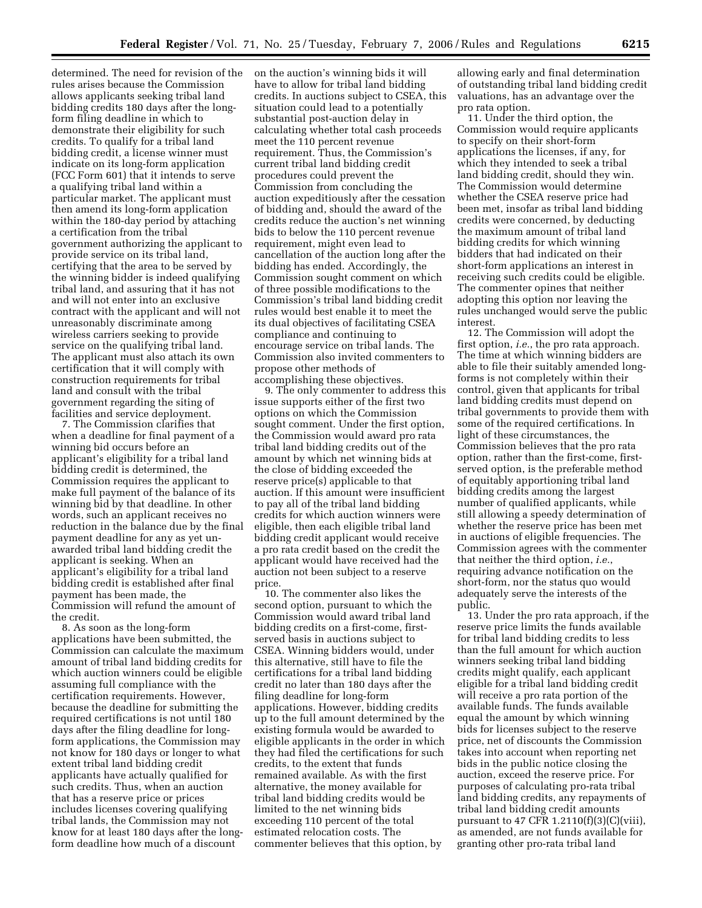determined. The need for revision of the rules arises because the Commission allows applicants seeking tribal land bidding credits 180 days after the longform filing deadline in which to demonstrate their eligibility for such credits. To qualify for a tribal land bidding credit, a license winner must indicate on its long-form application (FCC Form 601) that it intends to serve a qualifying tribal land within a particular market. The applicant must then amend its long-form application within the 180-day period by attaching a certification from the tribal government authorizing the applicant to provide service on its tribal land, certifying that the area to be served by the winning bidder is indeed qualifying tribal land, and assuring that it has not and will not enter into an exclusive contract with the applicant and will not unreasonably discriminate among wireless carriers seeking to provide service on the qualifying tribal land. The applicant must also attach its own certification that it will comply with construction requirements for tribal land and consult with the tribal government regarding the siting of facilities and service deployment.

7. The Commission clarifies that when a deadline for final payment of a winning bid occurs before an applicant's eligibility for a tribal land bidding credit is determined, the Commission requires the applicant to make full payment of the balance of its winning bid by that deadline. In other words, such an applicant receives no reduction in the balance due by the final payment deadline for any as yet unawarded tribal land bidding credit the applicant is seeking. When an applicant's eligibility for a tribal land bidding credit is established after final payment has been made, the Commission will refund the amount of the credit.

8. As soon as the long-form applications have been submitted, the Commission can calculate the maximum amount of tribal land bidding credits for which auction winners could be eligible assuming full compliance with the certification requirements. However, because the deadline for submitting the required certifications is not until 180 days after the filing deadline for longform applications, the Commission may not know for 180 days or longer to what extent tribal land bidding credit applicants have actually qualified for such credits. Thus, when an auction that has a reserve price or prices includes licenses covering qualifying tribal lands, the Commission may not know for at least 180 days after the longform deadline how much of a discount

on the auction's winning bids it will have to allow for tribal land bidding credits. In auctions subject to CSEA, this situation could lead to a potentially substantial post-auction delay in calculating whether total cash proceeds meet the 110 percent revenue requirement. Thus, the Commission's current tribal land bidding credit procedures could prevent the Commission from concluding the auction expeditiously after the cessation of bidding and, should the award of the credits reduce the auction's net winning bids to below the 110 percent revenue requirement, might even lead to cancellation of the auction long after the bidding has ended. Accordingly, the Commission sought comment on which of three possible modifications to the Commission's tribal land bidding credit rules would best enable it to meet the its dual objectives of facilitating CSEA compliance and continuing to encourage service on tribal lands. The Commission also invited commenters to propose other methods of accomplishing these objectives.

9. The only commenter to address this issue supports either of the first two options on which the Commission sought comment. Under the first option, the Commission would award pro rata tribal land bidding credits out of the amount by which net winning bids at the close of bidding exceeded the reserve price(s) applicable to that auction. If this amount were insufficient to pay all of the tribal land bidding credits for which auction winners were eligible, then each eligible tribal land bidding credit applicant would receive a pro rata credit based on the credit the applicant would have received had the auction not been subject to a reserve price.

10. The commenter also likes the second option, pursuant to which the Commission would award tribal land bidding credits on a first-come, firstserved basis in auctions subject to CSEA. Winning bidders would, under this alternative, still have to file the certifications for a tribal land bidding credit no later than 180 days after the filing deadline for long-form applications. However, bidding credits up to the full amount determined by the existing formula would be awarded to eligible applicants in the order in which they had filed the certifications for such credits, to the extent that funds remained available. As with the first alternative, the money available for tribal land bidding credits would be limited to the net winning bids exceeding 110 percent of the total estimated relocation costs. The commenter believes that this option, by

allowing early and final determination of outstanding tribal land bidding credit valuations, has an advantage over the pro rata option.

11. Under the third option, the Commission would require applicants to specify on their short-form applications the licenses, if any, for which they intended to seek a tribal land bidding credit, should they win. The Commission would determine whether the CSEA reserve price had been met, insofar as tribal land bidding credits were concerned, by deducting the maximum amount of tribal land bidding credits for which winning bidders that had indicated on their short-form applications an interest in receiving such credits could be eligible. The commenter opines that neither adopting this option nor leaving the rules unchanged would serve the public interest.

12. The Commission will adopt the first option, *i.e.*, the pro rata approach. The time at which winning bidders are able to file their suitably amended longforms is not completely within their control, given that applicants for tribal land bidding credits must depend on tribal governments to provide them with some of the required certifications. In light of these circumstances, the Commission believes that the pro rata option, rather than the first-come, firstserved option, is the preferable method of equitably apportioning tribal land bidding credits among the largest number of qualified applicants, while still allowing a speedy determination of whether the reserve price has been met in auctions of eligible frequencies. The Commission agrees with the commenter that neither the third option, *i.e.*, requiring advance notification on the short-form, nor the status quo would adequately serve the interests of the public.

13. Under the pro rata approach, if the reserve price limits the funds available for tribal land bidding credits to less than the full amount for which auction winners seeking tribal land bidding credits might qualify, each applicant eligible for a tribal land bidding credit will receive a pro rata portion of the available funds. The funds available equal the amount by which winning bids for licenses subject to the reserve price, net of discounts the Commission takes into account when reporting net bids in the public notice closing the auction, exceed the reserve price. For purposes of calculating pro-rata tribal land bidding credits, any repayments of tribal land bidding credit amounts pursuant to 47 CFR 1.2110 $(f)(3)(C)(viii)$ , as amended, are not funds available for granting other pro-rata tribal land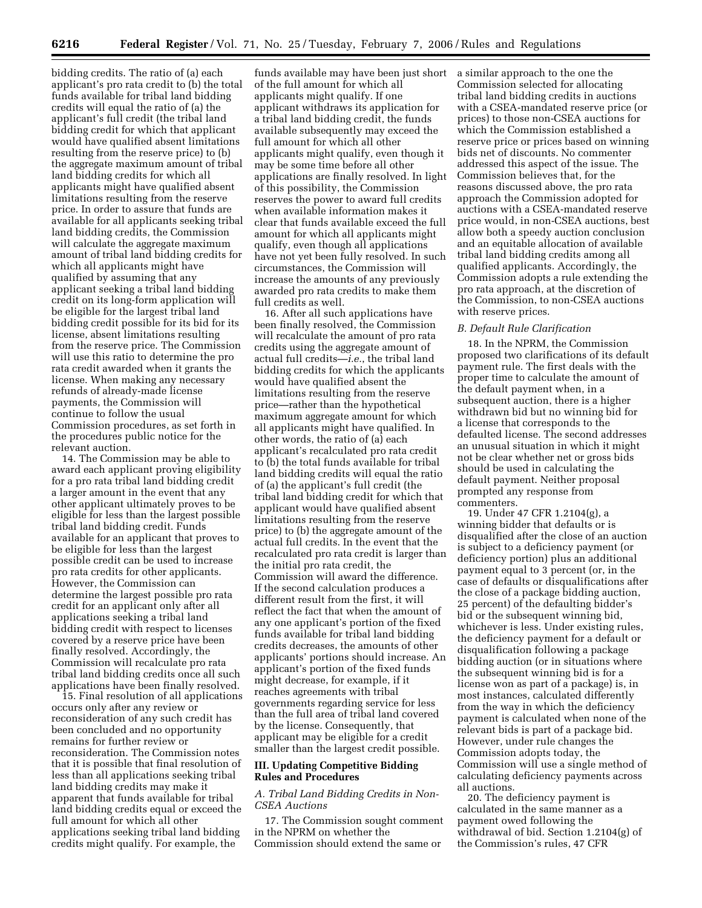bidding credits. The ratio of (a) each applicant's pro rata credit to (b) the total funds available for tribal land bidding credits will equal the ratio of (a) the applicant's full credit (the tribal land bidding credit for which that applicant would have qualified absent limitations resulting from the reserve price) to (b) the aggregate maximum amount of tribal land bidding credits for which all applicants might have qualified absent limitations resulting from the reserve price. In order to assure that funds are available for all applicants seeking tribal land bidding credits, the Commission will calculate the aggregate maximum amount of tribal land bidding credits for which all applicants might have qualified by assuming that any applicant seeking a tribal land bidding credit on its long-form application will be eligible for the largest tribal land bidding credit possible for its bid for its license, absent limitations resulting from the reserve price. The Commission will use this ratio to determine the pro rata credit awarded when it grants the license. When making any necessary refunds of already-made license payments, the Commission will continue to follow the usual Commission procedures, as set forth in the procedures public notice for the relevant auction.

14. The Commission may be able to award each applicant proving eligibility for a pro rata tribal land bidding credit a larger amount in the event that any other applicant ultimately proves to be eligible for less than the largest possible tribal land bidding credit. Funds available for an applicant that proves to be eligible for less than the largest possible credit can be used to increase pro rata credits for other applicants. However, the Commission can determine the largest possible pro rata credit for an applicant only after all applications seeking a tribal land bidding credit with respect to licenses covered by a reserve price have been finally resolved. Accordingly, the Commission will recalculate pro rata tribal land bidding credits once all such applications have been finally resolved.

15. Final resolution of all applications occurs only after any review or reconsideration of any such credit has been concluded and no opportunity remains for further review or reconsideration. The Commission notes that it is possible that final resolution of less than all applications seeking tribal land bidding credits may make it apparent that funds available for tribal land bidding credits equal or exceed the full amount for which all other applications seeking tribal land bidding credits might qualify. For example, the

funds available may have been just short a similar approach to the one the of the full amount for which all applicants might qualify. If one applicant withdraws its application for a tribal land bidding credit, the funds available subsequently may exceed the full amount for which all other applicants might qualify, even though it may be some time before all other applications are finally resolved. In light of this possibility, the Commission reserves the power to award full credits when available information makes it clear that funds available exceed the full amount for which all applicants might qualify, even though all applications have not yet been fully resolved. In such circumstances, the Commission will increase the amounts of any previously awarded pro rata credits to make them full credits as well.

16. After all such applications have been finally resolved, the Commission will recalculate the amount of pro rata credits using the aggregate amount of actual full credits—*i.e.*, the tribal land bidding credits for which the applicants would have qualified absent the limitations resulting from the reserve price—rather than the hypothetical maximum aggregate amount for which all applicants might have qualified. In other words, the ratio of (a) each applicant's recalculated pro rata credit to (b) the total funds available for tribal land bidding credits will equal the ratio of (a) the applicant's full credit (the tribal land bidding credit for which that applicant would have qualified absent limitations resulting from the reserve price) to (b) the aggregate amount of the actual full credits. In the event that the recalculated pro rata credit is larger than the initial pro rata credit, the Commission will award the difference. If the second calculation produces a different result from the first, it will reflect the fact that when the amount of any one applicant's portion of the fixed funds available for tribal land bidding credits decreases, the amounts of other applicants' portions should increase. An applicant's portion of the fixed funds might decrease, for example, if it reaches agreements with tribal governments regarding service for less than the full area of tribal land covered by the license. Consequently, that applicant may be eligible for a credit smaller than the largest credit possible.

### **III. Updating Competitive Bidding Rules and Procedures**

## *A. Tribal Land Bidding Credits in Non-CSEA Auctions*

17. The Commission sought comment in the NPRM on whether the Commission should extend the same or

Commission selected for allocating tribal land bidding credits in auctions with a CSEA-mandated reserve price (or prices) to those non-CSEA auctions for which the Commission established a reserve price or prices based on winning bids net of discounts. No commenter addressed this aspect of the issue. The Commission believes that, for the reasons discussed above, the pro rata approach the Commission adopted for auctions with a CSEA-mandated reserve price would, in non-CSEA auctions, best allow both a speedy auction conclusion and an equitable allocation of available tribal land bidding credits among all qualified applicants. Accordingly, the Commission adopts a rule extending the pro rata approach, at the discretion of the Commission, to non-CSEA auctions with reserve prices.

### *B. Default Rule Clarification*

18. In the NPRM, the Commission proposed two clarifications of its default payment rule. The first deals with the proper time to calculate the amount of the default payment when, in a subsequent auction, there is a higher withdrawn bid but no winning bid for a license that corresponds to the defaulted license. The second addresses an unusual situation in which it might not be clear whether net or gross bids should be used in calculating the default payment. Neither proposal prompted any response from commenters.

19. Under 47 CFR 1.2104(g), a winning bidder that defaults or is disqualified after the close of an auction is subject to a deficiency payment (or deficiency portion) plus an additional payment equal to 3 percent (or, in the case of defaults or disqualifications after the close of a package bidding auction, 25 percent) of the defaulting bidder's bid or the subsequent winning bid, whichever is less. Under existing rules, the deficiency payment for a default or disqualification following a package bidding auction (or in situations where the subsequent winning bid is for a license won as part of a package) is, in most instances, calculated differently from the way in which the deficiency payment is calculated when none of the relevant bids is part of a package bid. However, under rule changes the Commission adopts today, the Commission will use a single method of calculating deficiency payments across all auctions.

20. The deficiency payment is calculated in the same manner as a payment owed following the withdrawal of bid. Section 1.2104(g) of the Commission's rules, 47 CFR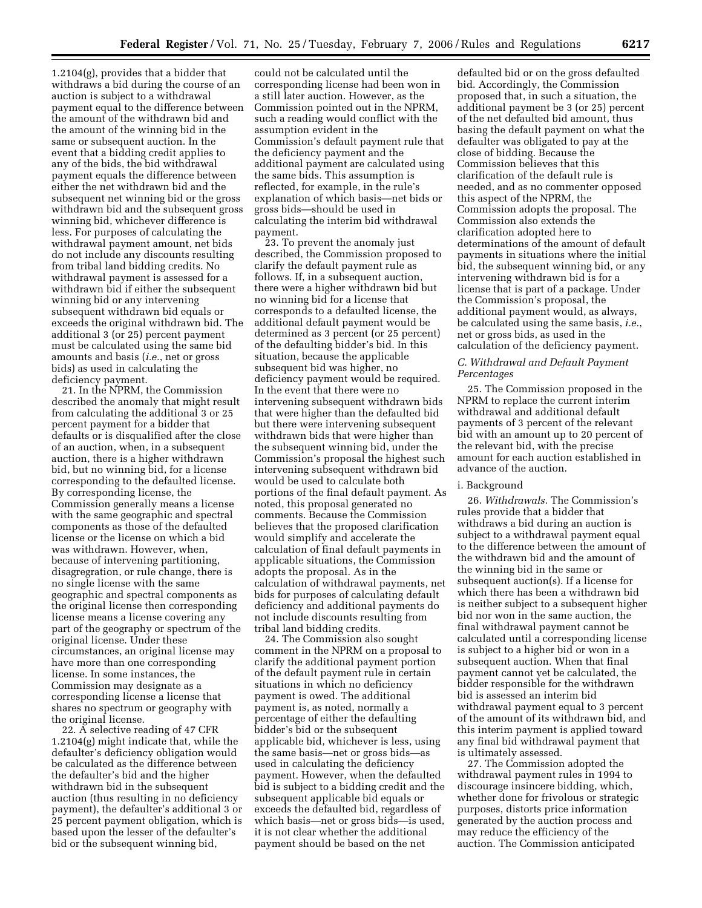1.2104(g), provides that a bidder that withdraws a bid during the course of an auction is subject to a withdrawal payment equal to the difference between the amount of the withdrawn bid and the amount of the winning bid in the same or subsequent auction. In the event that a bidding credit applies to any of the bids, the bid withdrawal payment equals the difference between either the net withdrawn bid and the subsequent net winning bid or the gross withdrawn bid and the subsequent gross winning bid, whichever difference is less. For purposes of calculating the withdrawal payment amount, net bids do not include any discounts resulting from tribal land bidding credits. No withdrawal payment is assessed for a withdrawn bid if either the subsequent winning bid or any intervening subsequent withdrawn bid equals or exceeds the original withdrawn bid. The additional 3 (or 25) percent payment must be calculated using the same bid amounts and basis (*i.e.*, net or gross bids) as used in calculating the deficiency payment.

21. In the NPRM, the Commission described the anomaly that might result from calculating the additional 3 or 25 percent payment for a bidder that defaults or is disqualified after the close of an auction, when, in a subsequent auction, there is a higher withdrawn bid, but no winning bid, for a license corresponding to the defaulted license. By corresponding license, the Commission generally means a license with the same geographic and spectral components as those of the defaulted license or the license on which a bid was withdrawn. However, when, because of intervening partitioning, disagregration, or rule change, there is no single license with the same geographic and spectral components as the original license then corresponding license means a license covering any part of the geography or spectrum of the original license. Under these circumstances, an original license may have more than one corresponding license. In some instances, the Commission may designate as a corresponding license a license that shares no spectrum or geography with the original license.

22. A selective reading of 47 CFR 1.2104(g) might indicate that, while the defaulter's deficiency obligation would be calculated as the difference between the defaulter's bid and the higher withdrawn bid in the subsequent auction (thus resulting in no deficiency payment), the defaulter's additional 3 or 25 percent payment obligation, which is based upon the lesser of the defaulter's bid or the subsequent winning bid,

could not be calculated until the corresponding license had been won in a still later auction. However, as the Commission pointed out in the NPRM, such a reading would conflict with the assumption evident in the Commission's default payment rule that the deficiency payment and the additional payment are calculated using the same bids. This assumption is reflected, for example, in the rule's explanation of which basis—net bids or gross bids—should be used in calculating the interim bid withdrawal payment.

23. To prevent the anomaly just described, the Commission proposed to clarify the default payment rule as follows. If, in a subsequent auction, there were a higher withdrawn bid but no winning bid for a license that corresponds to a defaulted license, the additional default payment would be determined as 3 percent (or 25 percent) of the defaulting bidder's bid. In this situation, because the applicable subsequent bid was higher, no deficiency payment would be required. In the event that there were no intervening subsequent withdrawn bids that were higher than the defaulted bid but there were intervening subsequent withdrawn bids that were higher than the subsequent winning bid, under the Commission's proposal the highest such intervening subsequent withdrawn bid would be used to calculate both portions of the final default payment. As noted, this proposal generated no comments. Because the Commission believes that the proposed clarification would simplify and accelerate the calculation of final default payments in applicable situations, the Commission adopts the proposal. As in the calculation of withdrawal payments, net bids for purposes of calculating default deficiency and additional payments do not include discounts resulting from tribal land bidding credits.

24. The Commission also sought comment in the NPRM on a proposal to clarify the additional payment portion of the default payment rule in certain situations in which no deficiency payment is owed. The additional payment is, as noted, normally a percentage of either the defaulting bidder's bid or the subsequent applicable bid, whichever is less, using the same basis—net or gross bids—as used in calculating the deficiency payment. However, when the defaulted bid is subject to a bidding credit and the subsequent applicable bid equals or exceeds the defaulted bid, regardless of which basis—net or gross bids—is used, it is not clear whether the additional payment should be based on the net

defaulted bid or on the gross defaulted bid. Accordingly, the Commission proposed that, in such a situation, the additional payment be 3 (or 25) percent of the net defaulted bid amount, thus basing the default payment on what the defaulter was obligated to pay at the close of bidding. Because the Commission believes that this clarification of the default rule is needed, and as no commenter opposed this aspect of the NPRM, the Commission adopts the proposal. The Commission also extends the clarification adopted here to determinations of the amount of default payments in situations where the initial bid, the subsequent winning bid, or any intervening withdrawn bid is for a license that is part of a package. Under the Commission's proposal, the additional payment would, as always, be calculated using the same basis, *i.e.*, net or gross bids, as used in the calculation of the deficiency payment.

### *C. Withdrawal and Default Payment Percentages*

25. The Commission proposed in the NPRM to replace the current interim withdrawal and additional default payments of 3 percent of the relevant bid with an amount up to 20 percent of the relevant bid, with the precise amount for each auction established in advance of the auction.

#### i. Background

26. *Withdrawals.* The Commission's rules provide that a bidder that withdraws a bid during an auction is subject to a withdrawal payment equal to the difference between the amount of the withdrawn bid and the amount of the winning bid in the same or subsequent auction(s). If a license for which there has been a withdrawn bid is neither subject to a subsequent higher bid nor won in the same auction, the final withdrawal payment cannot be calculated until a corresponding license is subject to a higher bid or won in a subsequent auction. When that final payment cannot yet be calculated, the bidder responsible for the withdrawn bid is assessed an interim bid withdrawal payment equal to 3 percent of the amount of its withdrawn bid, and this interim payment is applied toward any final bid withdrawal payment that is ultimately assessed.

27. The Commission adopted the withdrawal payment rules in 1994 to discourage insincere bidding, which, whether done for frivolous or strategic purposes, distorts price information generated by the auction process and may reduce the efficiency of the auction. The Commission anticipated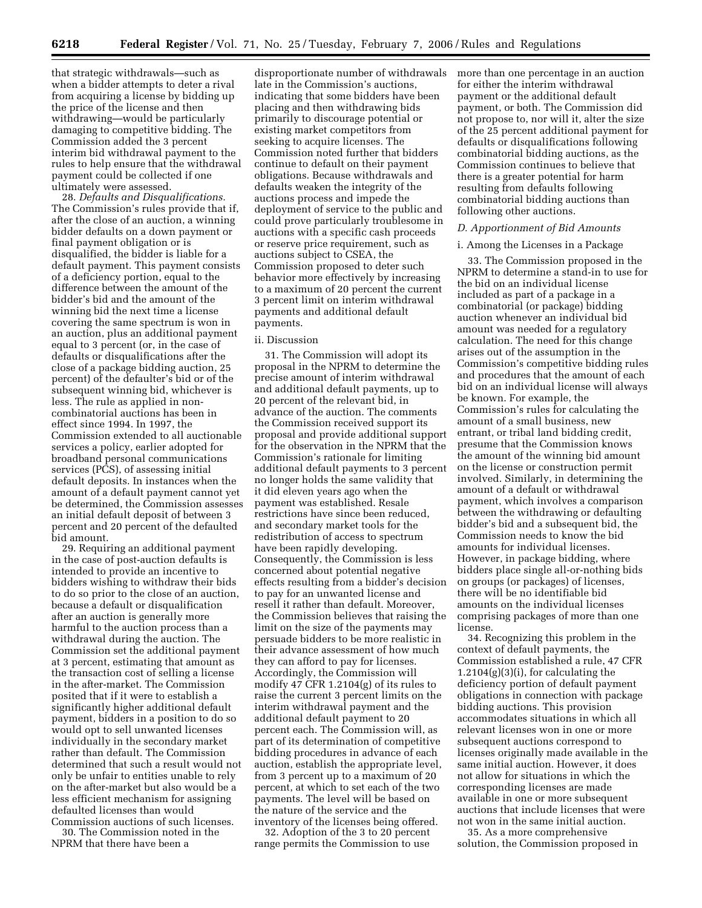that strategic withdrawals—such as when a bidder attempts to deter a rival from acquiring a license by bidding up the price of the license and then withdrawing—would be particularly damaging to competitive bidding. The Commission added the 3 percent interim bid withdrawal payment to the rules to help ensure that the withdrawal payment could be collected if one ultimately were assessed.

28. *Defaults and Disqualifications.*  The Commission's rules provide that if, after the close of an auction, a winning bidder defaults on a down payment or final payment obligation or is disqualified, the bidder is liable for a default payment. This payment consists of a deficiency portion, equal to the difference between the amount of the bidder's bid and the amount of the winning bid the next time a license covering the same spectrum is won in an auction, plus an additional payment equal to 3 percent (or, in the case of defaults or disqualifications after the close of a package bidding auction, 25 percent) of the defaulter's bid or of the subsequent winning bid, whichever is less. The rule as applied in noncombinatorial auctions has been in effect since 1994. In 1997, the Commission extended to all auctionable services a policy, earlier adopted for broadband personal communications services (PCS), of assessing initial default deposits. In instances when the amount of a default payment cannot yet be determined, the Commission assesses an initial default deposit of between 3 percent and 20 percent of the defaulted bid amount.

29. Requiring an additional payment in the case of post-auction defaults is intended to provide an incentive to bidders wishing to withdraw their bids to do so prior to the close of an auction, because a default or disqualification after an auction is generally more harmful to the auction process than a withdrawal during the auction. The Commission set the additional payment at 3 percent, estimating that amount as the transaction cost of selling a license in the after-market. The Commission posited that if it were to establish a significantly higher additional default payment, bidders in a position to do so would opt to sell unwanted licenses individually in the secondary market rather than default. The Commission determined that such a result would not only be unfair to entities unable to rely on the after-market but also would be a less efficient mechanism for assigning defaulted licenses than would Commission auctions of such licenses.

30. The Commission noted in the NPRM that there have been a

disproportionate number of withdrawals late in the Commission's auctions, indicating that some bidders have been placing and then withdrawing bids primarily to discourage potential or existing market competitors from seeking to acquire licenses. The Commission noted further that bidders continue to default on their payment obligations. Because withdrawals and defaults weaken the integrity of the auctions process and impede the deployment of service to the public and could prove particularly troublesome in auctions with a specific cash proceeds or reserve price requirement, such as auctions subject to CSEA, the Commission proposed to deter such behavior more effectively by increasing to a maximum of 20 percent the current 3 percent limit on interim withdrawal payments and additional default payments.

#### ii. Discussion

31. The Commission will adopt its proposal in the NPRM to determine the precise amount of interim withdrawal and additional default payments, up to 20 percent of the relevant bid, in advance of the auction. The comments the Commission received support its proposal and provide additional support for the observation in the NPRM that the Commission's rationale for limiting additional default payments to 3 percent no longer holds the same validity that it did eleven years ago when the payment was established. Resale restrictions have since been reduced, and secondary market tools for the redistribution of access to spectrum have been rapidly developing. Consequently, the Commission is less concerned about potential negative effects resulting from a bidder's decision to pay for an unwanted license and resell it rather than default. Moreover, the Commission believes that raising the limit on the size of the payments may persuade bidders to be more realistic in their advance assessment of how much they can afford to pay for licenses. Accordingly, the Commission will modify 47 CFR 1.2104(g) of its rules to raise the current 3 percent limits on the interim withdrawal payment and the additional default payment to 20 percent each. The Commission will, as part of its determination of competitive bidding procedures in advance of each auction, establish the appropriate level, from 3 percent up to a maximum of 20 percent, at which to set each of the two payments. The level will be based on the nature of the service and the inventory of the licenses being offered.

32. Adoption of the 3 to 20 percent range permits the Commission to use more than one percentage in an auction for either the interim withdrawal payment or the additional default payment, or both. The Commission did not propose to, nor will it, alter the size of the 25 percent additional payment for defaults or disqualifications following combinatorial bidding auctions, as the Commission continues to believe that there is a greater potential for harm resulting from defaults following combinatorial bidding auctions than following other auctions.

# *D. Apportionment of Bid Amounts*

### i. Among the Licenses in a Package

33. The Commission proposed in the NPRM to determine a stand-in to use for the bid on an individual license included as part of a package in a combinatorial (or package) bidding auction whenever an individual bid amount was needed for a regulatory calculation. The need for this change arises out of the assumption in the Commission's competitive bidding rules and procedures that the amount of each bid on an individual license will always be known. For example, the Commission's rules for calculating the amount of a small business, new entrant, or tribal land bidding credit, presume that the Commission knows the amount of the winning bid amount on the license or construction permit involved. Similarly, in determining the amount of a default or withdrawal payment, which involves a comparison between the withdrawing or defaulting bidder's bid and a subsequent bid, the Commission needs to know the bid amounts for individual licenses. However, in package bidding, where bidders place single all-or-nothing bids on groups (or packages) of licenses, there will be no identifiable bid amounts on the individual licenses comprising packages of more than one license.

34. Recognizing this problem in the context of default payments, the Commission established a rule, 47 CFR  $1.2104(g)(3)(i)$ , for calculating the deficiency portion of default payment obligations in connection with package bidding auctions. This provision accommodates situations in which all relevant licenses won in one or more subsequent auctions correspond to licenses originally made available in the same initial auction. However, it does not allow for situations in which the corresponding licenses are made available in one or more subsequent auctions that include licenses that were not won in the same initial auction.

35. As a more comprehensive solution, the Commission proposed in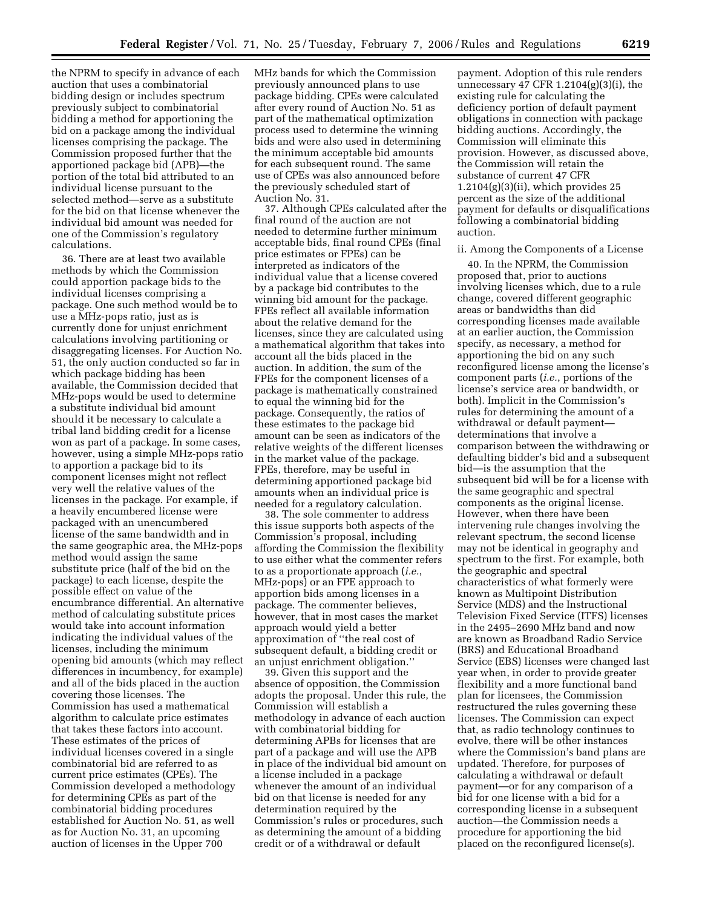the NPRM to specify in advance of each auction that uses a combinatorial bidding design or includes spectrum previously subject to combinatorial bidding a method for apportioning the bid on a package among the individual licenses comprising the package. The Commission proposed further that the apportioned package bid (APB)—the portion of the total bid attributed to an individual license pursuant to the selected method—serve as a substitute for the bid on that license whenever the individual bid amount was needed for one of the Commission's regulatory calculations.

36. There are at least two available methods by which the Commission could apportion package bids to the individual licenses comprising a package. One such method would be to use a MHz-pops ratio, just as is currently done for unjust enrichment calculations involving partitioning or disaggregating licenses. For Auction No. 51, the only auction conducted so far in which package bidding has been available, the Commission decided that MHz-pops would be used to determine a substitute individual bid amount should it be necessary to calculate a tribal land bidding credit for a license won as part of a package. In some cases, however, using a simple MHz-pops ratio to apportion a package bid to its component licenses might not reflect very well the relative values of the licenses in the package. For example, if a heavily encumbered license were packaged with an unencumbered license of the same bandwidth and in the same geographic area, the MHz-pops method would assign the same substitute price (half of the bid on the package) to each license, despite the possible effect on value of the encumbrance differential. An alternative method of calculating substitute prices would take into account information indicating the individual values of the licenses, including the minimum opening bid amounts (which may reflect differences in incumbency, for example) and all of the bids placed in the auction covering those licenses. The Commission has used a mathematical algorithm to calculate price estimates that takes these factors into account. These estimates of the prices of individual licenses covered in a single combinatorial bid are referred to as current price estimates (CPEs). The Commission developed a methodology for determining CPEs as part of the combinatorial bidding procedures established for Auction No. 51, as well as for Auction No. 31, an upcoming auction of licenses in the Upper 700

MHz bands for which the Commission previously announced plans to use package bidding. CPEs were calculated after every round of Auction No. 51 as part of the mathematical optimization process used to determine the winning bids and were also used in determining the minimum acceptable bid amounts for each subsequent round. The same use of CPEs was also announced before the previously scheduled start of Auction No. 31.

37. Although CPEs calculated after the final round of the auction are not needed to determine further minimum acceptable bids, final round CPEs (final price estimates or FPEs) can be interpreted as indicators of the individual value that a license covered by a package bid contributes to the winning bid amount for the package. FPEs reflect all available information about the relative demand for the licenses, since they are calculated using a mathematical algorithm that takes into account all the bids placed in the auction. In addition, the sum of the FPEs for the component licenses of a package is mathematically constrained to equal the winning bid for the package. Consequently, the ratios of these estimates to the package bid amount can be seen as indicators of the relative weights of the different licenses in the market value of the package. FPEs, therefore, may be useful in determining apportioned package bid amounts when an individual price is needed for a regulatory calculation.

38. The sole commenter to address this issue supports both aspects of the Commission's proposal, including affording the Commission the flexibility to use either what the commenter refers to as a proportionate approach (*i.e.*, MHz-pops) or an FPE approach to apportion bids among licenses in a package. The commenter believes, however, that in most cases the market approach would yield a better approximation of ''the real cost of subsequent default, a bidding credit or an unjust enrichment obligation.''

39. Given this support and the absence of opposition, the Commission adopts the proposal. Under this rule, the Commission will establish a methodology in advance of each auction with combinatorial bidding for determining APBs for licenses that are part of a package and will use the APB in place of the individual bid amount on a license included in a package whenever the amount of an individual bid on that license is needed for any determination required by the Commission's rules or procedures, such as determining the amount of a bidding credit or of a withdrawal or default

payment. Adoption of this rule renders unnecessary 47 CFR 1.2104(g)(3)(i), the existing rule for calculating the deficiency portion of default payment obligations in connection with package bidding auctions. Accordingly, the Commission will eliminate this provision. However, as discussed above, the Commission will retain the substance of current 47 CFR  $1.2104(g)(3)(ii)$ , which provides 25 percent as the size of the additional payment for defaults or disqualifications following a combinatorial bidding auction.

#### ii. Among the Components of a License

40. In the NPRM, the Commission proposed that, prior to auctions involving licenses which, due to a rule change, covered different geographic areas or bandwidths than did corresponding licenses made available at an earlier auction, the Commission specify, as necessary, a method for apportioning the bid on any such reconfigured license among the license's component parts (*i.e.*, portions of the license's service area or bandwidth, or both). Implicit in the Commission's rules for determining the amount of a withdrawal or default payment determinations that involve a comparison between the withdrawing or defaulting bidder's bid and a subsequent bid—is the assumption that the subsequent bid will be for a license with the same geographic and spectral components as the original license. However, when there have been intervening rule changes involving the relevant spectrum, the second license may not be identical in geography and spectrum to the first. For example, both the geographic and spectral characteristics of what formerly were known as Multipoint Distribution Service (MDS) and the Instructional Television Fixed Service (ITFS) licenses in the 2495–2690 MHz band and now are known as Broadband Radio Service (BRS) and Educational Broadband Service (EBS) licenses were changed last year when, in order to provide greater flexibility and a more functional band plan for licensees, the Commission restructured the rules governing these licenses. The Commission can expect that, as radio technology continues to evolve, there will be other instances where the Commission's band plans are updated. Therefore, for purposes of calculating a withdrawal or default payment—or for any comparison of a bid for one license with a bid for a corresponding license in a subsequent auction—the Commission needs a procedure for apportioning the bid placed on the reconfigured license(s).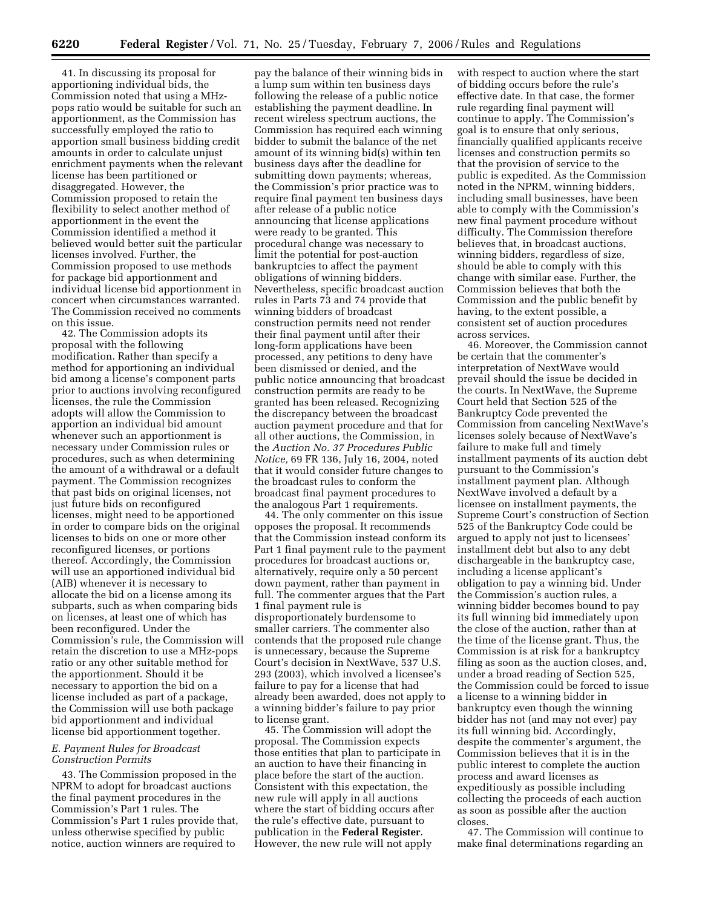41. In discussing its proposal for apportioning individual bids, the Commission noted that using a MHzpops ratio would be suitable for such an apportionment, as the Commission has successfully employed the ratio to apportion small business bidding credit amounts in order to calculate unjust enrichment payments when the relevant license has been partitioned or disaggregated. However, the Commission proposed to retain the flexibility to select another method of apportionment in the event the Commission identified a method it believed would better suit the particular licenses involved. Further, the Commission proposed to use methods for package bid apportionment and individual license bid apportionment in concert when circumstances warranted. The Commission received no comments on this issue.

42. The Commission adopts its proposal with the following modification. Rather than specify a method for apportioning an individual bid among a license's component parts prior to auctions involving reconfigured licenses, the rule the Commission adopts will allow the Commission to apportion an individual bid amount whenever such an apportionment is necessary under Commission rules or procedures, such as when determining the amount of a withdrawal or a default payment. The Commission recognizes that past bids on original licenses, not just future bids on reconfigured licenses, might need to be apportioned in order to compare bids on the original licenses to bids on one or more other reconfigured licenses, or portions thereof. Accordingly, the Commission will use an apportioned individual bid (AIB) whenever it is necessary to allocate the bid on a license among its subparts, such as when comparing bids on licenses, at least one of which has been reconfigured. Under the Commission's rule, the Commission will retain the discretion to use a MHz-pops ratio or any other suitable method for the apportionment. Should it be necessary to apportion the bid on a license included as part of a package, the Commission will use both package bid apportionment and individual license bid apportionment together.

# *E. Payment Rules for Broadcast Construction Permits*

43. The Commission proposed in the NPRM to adopt for broadcast auctions the final payment procedures in the Commission's Part 1 rules. The Commission's Part 1 rules provide that, unless otherwise specified by public notice, auction winners are required to

pay the balance of their winning bids in a lump sum within ten business days following the release of a public notice establishing the payment deadline. In recent wireless spectrum auctions, the Commission has required each winning bidder to submit the balance of the net amount of its winning bid(s) within ten business days after the deadline for submitting down payments; whereas, the Commission's prior practice was to require final payment ten business days after release of a public notice announcing that license applications were ready to be granted. This procedural change was necessary to limit the potential for post-auction bankruptcies to affect the payment obligations of winning bidders. Nevertheless, specific broadcast auction rules in Parts 73 and 74 provide that winning bidders of broadcast construction permits need not render their final payment until after their long-form applications have been processed, any petitions to deny have been dismissed or denied, and the public notice announcing that broadcast construction permits are ready to be granted has been released. Recognizing the discrepancy between the broadcast auction payment procedure and that for all other auctions, the Commission, in the *Auction No. 37 Procedures Public Notice,* 69 FR 136, July 16, 2004, noted that it would consider future changes to the broadcast rules to conform the broadcast final payment procedures to the analogous Part 1 requirements.

44. The only commenter on this issue opposes the proposal. It recommends that the Commission instead conform its Part 1 final payment rule to the payment procedures for broadcast auctions or, alternatively, require only a 50 percent down payment, rather than payment in full. The commenter argues that the Part 1 final payment rule is disproportionately burdensome to smaller carriers. The commenter also contends that the proposed rule change is unnecessary, because the Supreme Court's decision in NextWave, 537 U.S. 293 (2003), which involved a licensee's failure to pay for a license that had already been awarded, does not apply to a winning bidder's failure to pay prior to license grant.

45. The Commission will adopt the proposal. The Commission expects those entities that plan to participate in an auction to have their financing in place before the start of the auction. Consistent with this expectation, the new rule will apply in all auctions where the start of bidding occurs after the rule's effective date, pursuant to publication in the **Federal Register**. However, the new rule will not apply

with respect to auction where the start of bidding occurs before the rule's effective date. In that case, the former rule regarding final payment will continue to apply. The Commission's goal is to ensure that only serious, financially qualified applicants receive licenses and construction permits so that the provision of service to the public is expedited. As the Commission noted in the NPRM, winning bidders, including small businesses, have been able to comply with the Commission's new final payment procedure without difficulty. The Commission therefore believes that, in broadcast auctions, winning bidders, regardless of size, should be able to comply with this change with similar ease. Further, the Commission believes that both the Commission and the public benefit by having, to the extent possible, a consistent set of auction procedures across services.

46. Moreover, the Commission cannot be certain that the commenter's interpretation of NextWave would prevail should the issue be decided in the courts. In NextWave, the Supreme Court held that Section 525 of the Bankruptcy Code prevented the Commission from canceling NextWave's licenses solely because of NextWave's failure to make full and timely installment payments of its auction debt pursuant to the Commission's installment payment plan. Although NextWave involved a default by a licensee on installment payments, the Supreme Court's construction of Section 525 of the Bankruptcy Code could be argued to apply not just to licensees' installment debt but also to any debt dischargeable in the bankruptcy case, including a license applicant's obligation to pay a winning bid. Under the Commission's auction rules, a winning bidder becomes bound to pay its full winning bid immediately upon the close of the auction, rather than at the time of the license grant. Thus, the Commission is at risk for a bankruptcy filing as soon as the auction closes, and, under a broad reading of Section 525, the Commission could be forced to issue a license to a winning bidder in bankruptcy even though the winning bidder has not (and may not ever) pay its full winning bid. Accordingly, despite the commenter's argument, the Commission believes that it is in the public interest to complete the auction process and award licenses as expeditiously as possible including collecting the proceeds of each auction as soon as possible after the auction closes.

47. The Commission will continue to make final determinations regarding an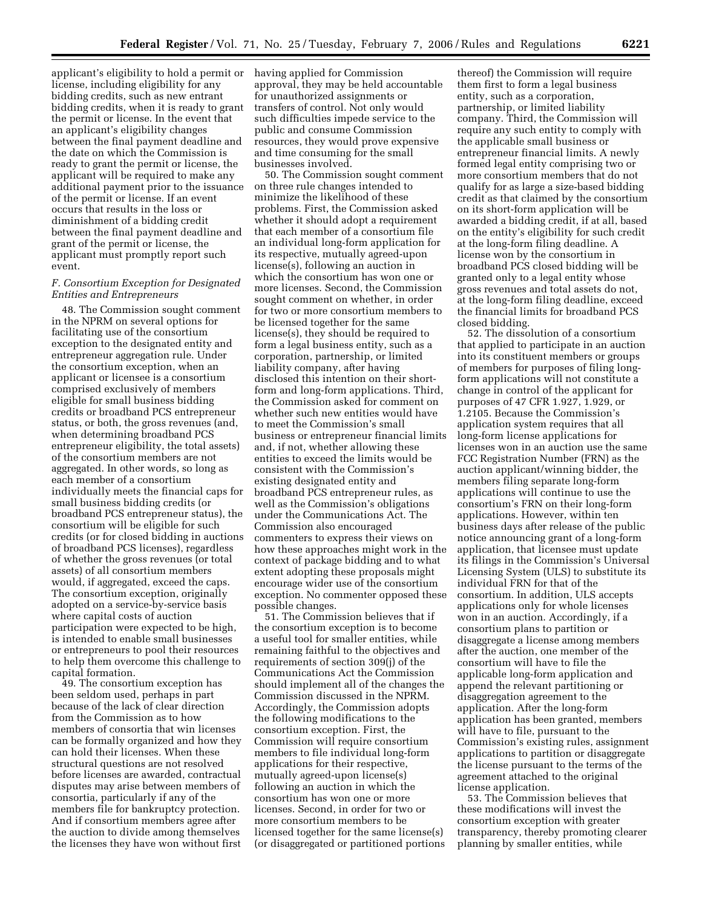applicant's eligibility to hold a permit or having applied for Commission license, including eligibility for any bidding credits, such as new entrant bidding credits, when it is ready to grant the permit or license. In the event that an applicant's eligibility changes between the final payment deadline and the date on which the Commission is ready to grant the permit or license, the applicant will be required to make any additional payment prior to the issuance of the permit or license. If an event occurs that results in the loss or diminishment of a bidding credit between the final payment deadline and grant of the permit or license, the applicant must promptly report such event.

# *F. Consortium Exception for Designated Entities and Entrepreneurs*

48. The Commission sought comment in the NPRM on several options for facilitating use of the consortium exception to the designated entity and entrepreneur aggregation rule. Under the consortium exception, when an applicant or licensee is a consortium comprised exclusively of members eligible for small business bidding credits or broadband PCS entrepreneur status, or both, the gross revenues (and, when determining broadband PCS entrepreneur eligibility, the total assets) of the consortium members are not aggregated. In other words, so long as each member of a consortium individually meets the financial caps for small business bidding credits (or broadband PCS entrepreneur status), the consortium will be eligible for such credits (or for closed bidding in auctions of broadband PCS licenses), regardless of whether the gross revenues (or total assets) of all consortium members would, if aggregated, exceed the caps. The consortium exception, originally adopted on a service-by-service basis where capital costs of auction participation were expected to be high, is intended to enable small businesses or entrepreneurs to pool their resources to help them overcome this challenge to capital formation.

49. The consortium exception has been seldom used, perhaps in part because of the lack of clear direction from the Commission as to how members of consortia that win licenses can be formally organized and how they can hold their licenses. When these structural questions are not resolved before licenses are awarded, contractual disputes may arise between members of consortia, particularly if any of the members file for bankruptcy protection. And if consortium members agree after the auction to divide among themselves the licenses they have won without first

approval, they may be held accountable for unauthorized assignments or transfers of control. Not only would such difficulties impede service to the public and consume Commission resources, they would prove expensive and time consuming for the small businesses involved.

50. The Commission sought comment on three rule changes intended to minimize the likelihood of these problems. First, the Commission asked whether it should adopt a requirement that each member of a consortium file an individual long-form application for its respective, mutually agreed-upon license(s), following an auction in which the consortium has won one or more licenses. Second, the Commission sought comment on whether, in order for two or more consortium members to be licensed together for the same license(s), they should be required to form a legal business entity, such as a corporation, partnership, or limited liability company, after having disclosed this intention on their shortform and long-form applications. Third, the Commission asked for comment on whether such new entities would have to meet the Commission's small business or entrepreneur financial limits and, if not, whether allowing these entities to exceed the limits would be consistent with the Commission's existing designated entity and broadband PCS entrepreneur rules, as well as the Commission's obligations under the Communications Act. The Commission also encouraged commenters to express their views on how these approaches might work in the context of package bidding and to what extent adopting these proposals might encourage wider use of the consortium exception. No commenter opposed these possible changes.

51. The Commission believes that if the consortium exception is to become a useful tool for smaller entities, while remaining faithful to the objectives and requirements of section 309(j) of the Communications Act the Commission should implement all of the changes the Commission discussed in the NPRM. Accordingly, the Commission adopts the following modifications to the consortium exception. First, the Commission will require consortium members to file individual long-form applications for their respective, mutually agreed-upon license(s) following an auction in which the consortium has won one or more licenses. Second, in order for two or more consortium members to be licensed together for the same license(s) (or disaggregated or partitioned portions

thereof) the Commission will require them first to form a legal business entity, such as a corporation, partnership, or limited liability company. Third, the Commission will require any such entity to comply with the applicable small business or entrepreneur financial limits. A newly formed legal entity comprising two or more consortium members that do not qualify for as large a size-based bidding credit as that claimed by the consortium on its short-form application will be awarded a bidding credit, if at all, based on the entity's eligibility for such credit at the long-form filing deadline. A license won by the consortium in broadband PCS closed bidding will be granted only to a legal entity whose gross revenues and total assets do not, at the long-form filing deadline, exceed the financial limits for broadband PCS closed bidding.

52. The dissolution of a consortium that applied to participate in an auction into its constituent members or groups of members for purposes of filing longform applications will not constitute a change in control of the applicant for purposes of 47 CFR 1.927, 1.929, or 1.2105. Because the Commission's application system requires that all long-form license applications for licenses won in an auction use the same FCC Registration Number (FRN) as the auction applicant/winning bidder, the members filing separate long-form applications will continue to use the consortium's FRN on their long-form applications. However, within ten business days after release of the public notice announcing grant of a long-form application, that licensee must update its filings in the Commission's Universal Licensing System (ULS) to substitute its individual FRN for that of the consortium. In addition, ULS accepts applications only for whole licenses won in an auction. Accordingly, if a consortium plans to partition or disaggregate a license among members after the auction, one member of the consortium will have to file the applicable long-form application and append the relevant partitioning or disaggregation agreement to the application. After the long-form application has been granted, members will have to file, pursuant to the Commission's existing rules, assignment applications to partition or disaggregate the license pursuant to the terms of the agreement attached to the original license application.

53. The Commission believes that these modifications will invest the consortium exception with greater transparency, thereby promoting clearer planning by smaller entities, while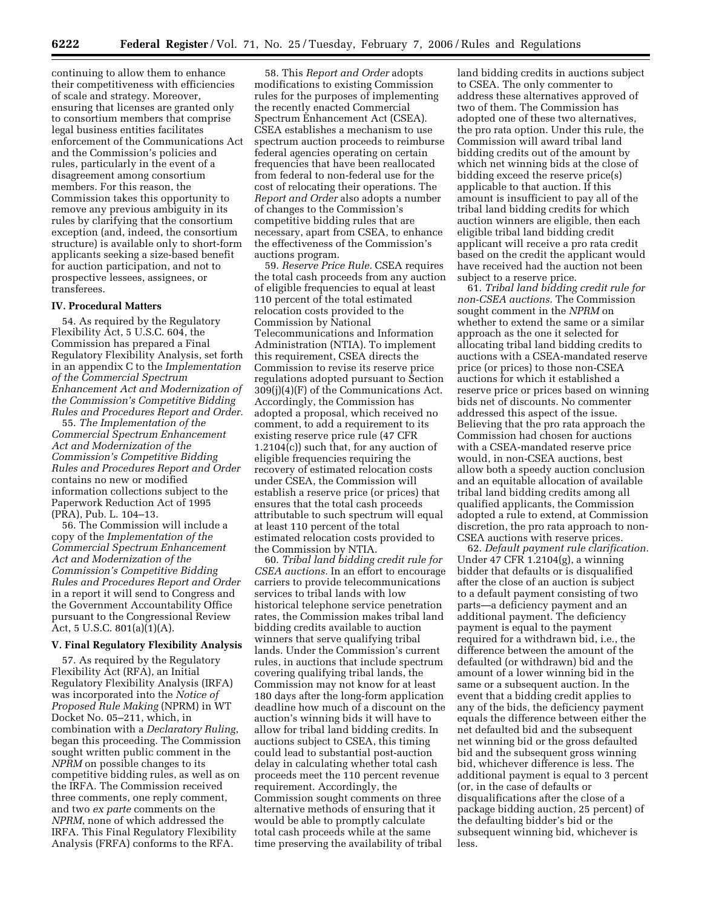continuing to allow them to enhance their competitiveness with efficiencies of scale and strategy. Moreover, ensuring that licenses are granted only to consortium members that comprise legal business entities facilitates enforcement of the Communications Act and the Commission's policies and rules, particularly in the event of a disagreement among consortium members. For this reason, the Commission takes this opportunity to remove any previous ambiguity in its rules by clarifying that the consortium exception (and, indeed, the consortium structure) is available only to short-form applicants seeking a size-based benefit for auction participation, and not to prospective lessees, assignees, or transferees.

### **IV. Procedural Matters**

54. As required by the Regulatory Flexibility Act, 5 U.S.C. 604, the Commission has prepared a Final Regulatory Flexibility Analysis, set forth in an appendix C to the *Implementation of the Commercial Spectrum Enhancement Act and Modernization of the Commission's Competitive Bidding Rules and Procedures Report and Order.* 

55. *The Implementation of the Commercial Spectrum Enhancement Act and Modernization of the Commission's Competitive Bidding Rules and Procedures Report and Order*  contains no new or modified information collections subject to the Paperwork Reduction Act of 1995 (PRA), Pub. L. 104–13.

56. The Commission will include a copy of the *Implementation of the Commercial Spectrum Enhancement Act and Modernization of the Commission's Competitive Bidding Rules and Procedures Report and Order*  in a report it will send to Congress and the Government Accountability Office pursuant to the Congressional Review Act, 5 U.S.C. 801(a)(1)(A).

### **V. Final Regulatory Flexibility Analysis**

57. As required by the Regulatory Flexibility Act (RFA), an Initial Regulatory Flexibility Analysis (IRFA) was incorporated into the *Notice of Proposed Rule Making* (NPRM) in WT Docket No. 05–211, which, in combination with a *Declaratory Ruling*, began this proceeding. The Commission sought written public comment in the *NPRM* on possible changes to its competitive bidding rules, as well as on the IRFA. The Commission received three comments, one reply comment, and two *ex parte* comments on the *NPRM*, none of which addressed the IRFA. This Final Regulatory Flexibility Analysis (FRFA) conforms to the RFA.

58. This *Report and Order* adopts modifications to existing Commission rules for the purposes of implementing the recently enacted Commercial Spectrum Enhancement Act (CSEA). CSEA establishes a mechanism to use spectrum auction proceeds to reimburse federal agencies operating on certain frequencies that have been reallocated from federal to non-federal use for the cost of relocating their operations. The *Report and Order* also adopts a number of changes to the Commission's competitive bidding rules that are necessary, apart from CSEA, to enhance the effectiveness of the Commission's auctions program.

59. *Reserve Price Rule.* CSEA requires the total cash proceeds from any auction of eligible frequencies to equal at least 110 percent of the total estimated relocation costs provided to the Commission by National Telecommunications and Information Administration (NTIA). To implement this requirement, CSEA directs the Commission to revise its reserve price regulations adopted pursuant to Section 309(j)(4)(F) of the Communications Act. Accordingly, the Commission has adopted a proposal, which received no comment, to add a requirement to its existing reserve price rule (47 CFR 1.2104(c)) such that, for any auction of eligible frequencies requiring the recovery of estimated relocation costs under CSEA, the Commission will establish a reserve price (or prices) that ensures that the total cash proceeds attributable to such spectrum will equal at least 110 percent of the total estimated relocation costs provided to the Commission by NTIA.

60. *Tribal land bidding credit rule for CSEA auctions.* In an effort to encourage carriers to provide telecommunications services to tribal lands with low historical telephone service penetration rates, the Commission makes tribal land bidding credits available to auction winners that serve qualifying tribal lands. Under the Commission's current rules, in auctions that include spectrum covering qualifying tribal lands, the Commission may not know for at least 180 days after the long-form application deadline how much of a discount on the auction's winning bids it will have to allow for tribal land bidding credits. In auctions subject to CSEA, this timing could lead to substantial post-auction delay in calculating whether total cash proceeds meet the 110 percent revenue requirement. Accordingly, the Commission sought comments on three alternative methods of ensuring that it would be able to promptly calculate total cash proceeds while at the same time preserving the availability of tribal

land bidding credits in auctions subject to CSEA. The only commenter to address these alternatives approved of two of them. The Commission has adopted one of these two alternatives, the pro rata option. Under this rule, the Commission will award tribal land bidding credits out of the amount by which net winning bids at the close of bidding exceed the reserve price(s) applicable to that auction. If this amount is insufficient to pay all of the tribal land bidding credits for which auction winners are eligible, then each eligible tribal land bidding credit applicant will receive a pro rata credit based on the credit the applicant would have received had the auction not been subject to a reserve price.

61. *Tribal land bidding credit rule for non-CSEA auctions.* The Commission sought comment in the *NPRM* on whether to extend the same or a similar approach as the one it selected for allocating tribal land bidding credits to auctions with a CSEA-mandated reserve price (or prices) to those non-CSEA auctions for which it established a reserve price or prices based on winning bids net of discounts. No commenter addressed this aspect of the issue. Believing that the pro rata approach the Commission had chosen for auctions with a CSEA-mandated reserve price would, in non-CSEA auctions, best allow both a speedy auction conclusion and an equitable allocation of available tribal land bidding credits among all qualified applicants, the Commission adopted a rule to extend, at Commission discretion, the pro rata approach to non-CSEA auctions with reserve prices.

62. *Default payment rule clarification.*  Under 47 CFR 1.2104(g), a winning bidder that defaults or is disqualified after the close of an auction is subject to a default payment consisting of two parts—a deficiency payment and an additional payment. The deficiency payment is equal to the payment required for a withdrawn bid, i.e., the difference between the amount of the defaulted (or withdrawn) bid and the amount of a lower winning bid in the same or a subsequent auction. In the event that a bidding credit applies to any of the bids, the deficiency payment equals the difference between either the net defaulted bid and the subsequent net winning bid or the gross defaulted bid and the subsequent gross winning bid, whichever difference is less. The additional payment is equal to 3 percent (or, in the case of defaults or disqualifications after the close of a package bidding auction, 25 percent) of the defaulting bidder's bid or the subsequent winning bid, whichever is less.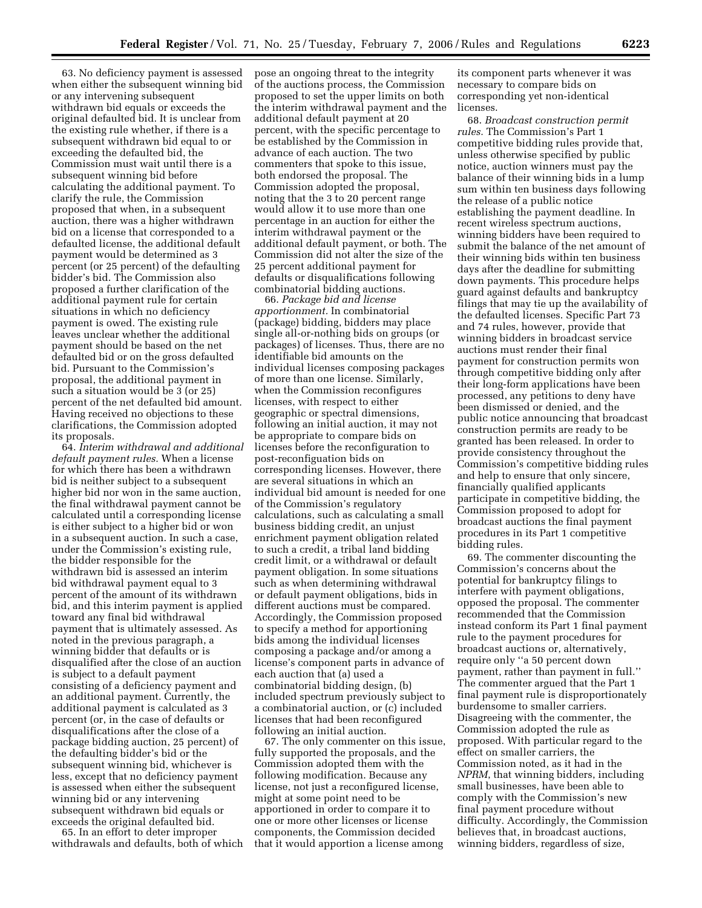63. No deficiency payment is assessed when either the subsequent winning bid or any intervening subsequent withdrawn bid equals or exceeds the original defaulted bid. It is unclear from the existing rule whether, if there is a subsequent withdrawn bid equal to or exceeding the defaulted bid, the Commission must wait until there is a subsequent winning bid before calculating the additional payment. To clarify the rule, the Commission proposed that when, in a subsequent auction, there was a higher withdrawn bid on a license that corresponded to a defaulted license, the additional default payment would be determined as 3 percent (or 25 percent) of the defaulting bidder's bid. The Commission also proposed a further clarification of the additional payment rule for certain situations in which no deficiency payment is owed. The existing rule leaves unclear whether the additional payment should be based on the net defaulted bid or on the gross defaulted bid. Pursuant to the Commission's proposal, the additional payment in such a situation would be 3 (or 25) percent of the net defaulted bid amount. Having received no objections to these clarifications, the Commission adopted its proposals.

64. *Interim withdrawal and additional default payment rules.* When a license for which there has been a withdrawn bid is neither subject to a subsequent higher bid nor won in the same auction, the final withdrawal payment cannot be calculated until a corresponding license is either subject to a higher bid or won in a subsequent auction. In such a case, under the Commission's existing rule, the bidder responsible for the withdrawn bid is assessed an interim bid withdrawal payment equal to 3 percent of the amount of its withdrawn bid, and this interim payment is applied toward any final bid withdrawal payment that is ultimately assessed. As noted in the previous paragraph, a winning bidder that defaults or is disqualified after the close of an auction is subject to a default payment consisting of a deficiency payment and an additional payment. Currently, the additional payment is calculated as 3 percent (or, in the case of defaults or disqualifications after the close of a package bidding auction, 25 percent) of the defaulting bidder's bid or the subsequent winning bid, whichever is less, except that no deficiency payment is assessed when either the subsequent winning bid or any intervening subsequent withdrawn bid equals or exceeds the original defaulted bid.

65. In an effort to deter improper withdrawals and defaults, both of which pose an ongoing threat to the integrity of the auctions process, the Commission proposed to set the upper limits on both the interim withdrawal payment and the additional default payment at 20 percent, with the specific percentage to be established by the Commission in advance of each auction. The two commenters that spoke to this issue, both endorsed the proposal. The Commission adopted the proposal, noting that the 3 to 20 percent range would allow it to use more than one percentage in an auction for either the interim withdrawal payment or the additional default payment, or both. The Commission did not alter the size of the 25 percent additional payment for defaults or disqualifications following combinatorial bidding auctions.

66. *Package bid and license apportionment.* In combinatorial (package) bidding, bidders may place single all-or-nothing bids on groups (or packages) of licenses. Thus, there are no identifiable bid amounts on the individual licenses composing packages of more than one license. Similarly, when the Commission reconfigures licenses, with respect to either geographic or spectral dimensions, following an initial auction, it may not be appropriate to compare bids on licenses before the reconfiguration to post-reconfiguation bids on corresponding licenses. However, there are several situations in which an individual bid amount is needed for one of the Commission's regulatory calculations, such as calculating a small business bidding credit, an unjust enrichment payment obligation related to such a credit, a tribal land bidding credit limit, or a withdrawal or default payment obligation. In some situations such as when determining withdrawal or default payment obligations, bids in different auctions must be compared. Accordingly, the Commission proposed to specify a method for apportioning bids among the individual licenses composing a package and/or among a license's component parts in advance of each auction that (a) used a combinatorial bidding design, (b) included spectrum previously subject to a combinatorial auction, or (c) included licenses that had been reconfigured following an initial auction.

67. The only commenter on this issue, fully supported the proposals, and the Commission adopted them with the following modification. Because any license, not just a reconfigured license, might at some point need to be apportioned in order to compare it to one or more other licenses or license components, the Commission decided that it would apportion a license among

its component parts whenever it was necessary to compare bids on corresponding yet non-identical licenses.

68. *Broadcast construction permit rules.* The Commission's Part 1 competitive bidding rules provide that, unless otherwise specified by public notice, auction winners must pay the balance of their winning bids in a lump sum within ten business days following the release of a public notice establishing the payment deadline. In recent wireless spectrum auctions, winning bidders have been required to submit the balance of the net amount of their winning bids within ten business days after the deadline for submitting down payments. This procedure helps guard against defaults and bankruptcy filings that may tie up the availability of the defaulted licenses. Specific Part 73 and 74 rules, however, provide that winning bidders in broadcast service auctions must render their final payment for construction permits won through competitive bidding only after their long-form applications have been processed, any petitions to deny have been dismissed or denied, and the public notice announcing that broadcast construction permits are ready to be granted has been released. In order to provide consistency throughout the Commission's competitive bidding rules and help to ensure that only sincere, financially qualified applicants participate in competitive bidding, the Commission proposed to adopt for broadcast auctions the final payment procedures in its Part 1 competitive bidding rules.

69. The commenter discounting the Commission's concerns about the potential for bankruptcy filings to interfere with payment obligations, opposed the proposal. The commenter recommended that the Commission instead conform its Part 1 final payment rule to the payment procedures for broadcast auctions or, alternatively, require only ''a 50 percent down payment, rather than payment in full.'' The commenter argued that the Part 1 final payment rule is disproportionately burdensome to smaller carriers. Disagreeing with the commenter, the Commission adopted the rule as proposed. With particular regard to the effect on smaller carriers, the Commission noted, as it had in the *NPRM*, that winning bidders, including small businesses, have been able to comply with the Commission's new final payment procedure without difficulty. Accordingly, the Commission believes that, in broadcast auctions, winning bidders, regardless of size,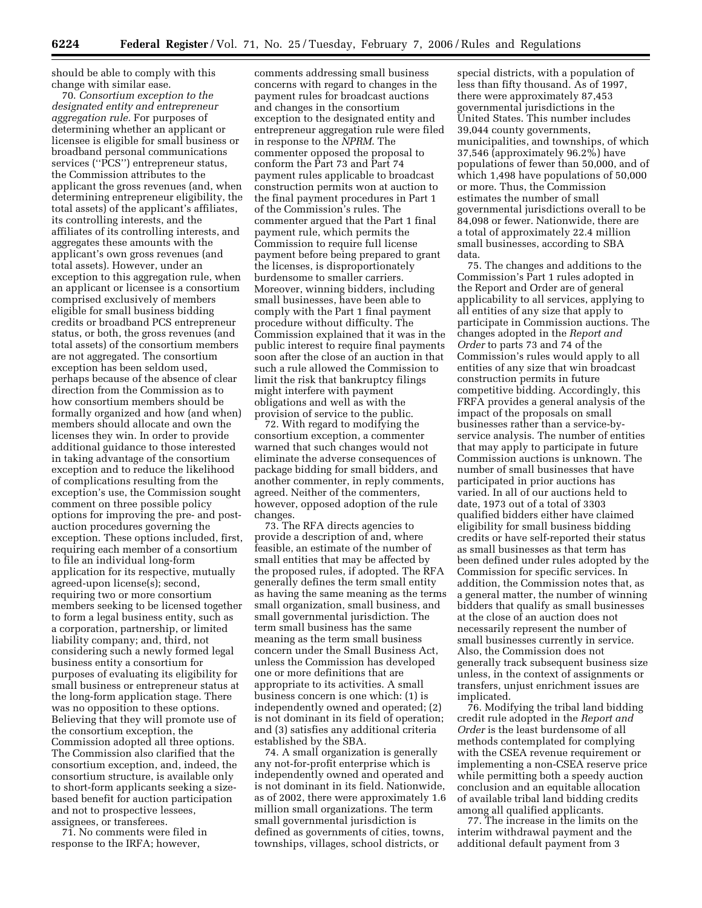should be able to comply with this change with similar ease.

70. *Consortium exception to the designated entity and entrepreneur aggregation rule.* For purposes of determining whether an applicant or licensee is eligible for small business or broadband personal communications services ("PCS") entrepreneur status, the Commission attributes to the applicant the gross revenues (and, when determining entrepreneur eligibility, the total assets) of the applicant's affiliates, its controlling interests, and the affiliates of its controlling interests, and aggregates these amounts with the applicant's own gross revenues (and total assets). However, under an exception to this aggregation rule, when an applicant or licensee is a consortium comprised exclusively of members eligible for small business bidding credits or broadband PCS entrepreneur status, or both, the gross revenues (and total assets) of the consortium members are not aggregated. The consortium exception has been seldom used, perhaps because of the absence of clear direction from the Commission as to how consortium members should be formally organized and how (and when) members should allocate and own the licenses they win. In order to provide additional guidance to those interested in taking advantage of the consortium exception and to reduce the likelihood of complications resulting from the exception's use, the Commission sought comment on three possible policy options for improving the pre- and postauction procedures governing the exception. These options included, first, requiring each member of a consortium to file an individual long-form application for its respective, mutually agreed-upon license(s); second, requiring two or more consortium members seeking to be licensed together to form a legal business entity, such as a corporation, partnership, or limited liability company; and, third, not considering such a newly formed legal business entity a consortium for purposes of evaluating its eligibility for small business or entrepreneur status at the long-form application stage. There was no opposition to these options. Believing that they will promote use of the consortium exception, the Commission adopted all three options. The Commission also clarified that the consortium exception, and, indeed, the consortium structure, is available only to short-form applicants seeking a sizebased benefit for auction participation and not to prospective lessees, assignees, or transferees.

71. No comments were filed in response to the IRFA; however,

comments addressing small business concerns with regard to changes in the payment rules for broadcast auctions and changes in the consortium exception to the designated entity and entrepreneur aggregation rule were filed in response to the *NPRM*. The commenter opposed the proposal to conform the Part 73 and Part 74 payment rules applicable to broadcast construction permits won at auction to the final payment procedures in Part 1 of the Commission's rules. The commenter argued that the Part 1 final payment rule, which permits the Commission to require full license payment before being prepared to grant the licenses, is disproportionately burdensome to smaller carriers. Moreover, winning bidders, including small businesses, have been able to comply with the Part 1 final payment procedure without difficulty. The Commission explained that it was in the public interest to require final payments soon after the close of an auction in that such a rule allowed the Commission to limit the risk that bankruptcy filings might interfere with payment obligations and well as with the provision of service to the public.

72. With regard to modifying the consortium exception, a commenter warned that such changes would not eliminate the adverse consequences of package bidding for small bidders, and another commenter, in reply comments, agreed. Neither of the commenters, however, opposed adoption of the rule changes.

73. The RFA directs agencies to provide a description of and, where feasible, an estimate of the number of small entities that may be affected by the proposed rules, if adopted. The RFA generally defines the term small entity as having the same meaning as the terms small organization, small business, and small governmental jurisdiction. The term small business has the same meaning as the term small business concern under the Small Business Act, unless the Commission has developed one or more definitions that are appropriate to its activities. A small business concern is one which: (1) is independently owned and operated; (2) is not dominant in its field of operation; and (3) satisfies any additional criteria established by the SBA.

74. A small organization is generally any not-for-profit enterprise which is independently owned and operated and is not dominant in its field. Nationwide, as of 2002, there were approximately 1.6 million small organizations. The term small governmental jurisdiction is defined as governments of cities, towns, townships, villages, school districts, or

special districts, with a population of less than fifty thousand. As of 1997, there were approximately 87,453 governmental jurisdictions in the United States. This number includes 39,044 county governments, municipalities, and townships, of which 37,546 (approximately 96.2%) have populations of fewer than 50,000, and of which 1,498 have populations of 50,000 or more. Thus, the Commission estimates the number of small governmental jurisdictions overall to be 84,098 or fewer. Nationwide, there are a total of approximately 22.4 million small businesses, according to SBA data.

75. The changes and additions to the Commission's Part 1 rules adopted in the Report and Order are of general applicability to all services, applying to all entities of any size that apply to participate in Commission auctions. The changes adopted in the *Report and Order* to parts 73 and 74 of the Commission's rules would apply to all entities of any size that win broadcast construction permits in future competitive bidding. Accordingly, this FRFA provides a general analysis of the impact of the proposals on small businesses rather than a service-byservice analysis. The number of entities that may apply to participate in future Commission auctions is unknown. The number of small businesses that have participated in prior auctions has varied. In all of our auctions held to date, 1973 out of a total of 3303 qualified bidders either have claimed eligibility for small business bidding credits or have self-reported their status as small businesses as that term has been defined under rules adopted by the Commission for specific services. In addition, the Commission notes that, as a general matter, the number of winning bidders that qualify as small businesses at the close of an auction does not necessarily represent the number of small businesses currently in service. Also, the Commission does not generally track subsequent business size unless, in the context of assignments or transfers, unjust enrichment issues are implicated.

76. Modifying the tribal land bidding credit rule adopted in the *Report and Order* is the least burdensome of all methods contemplated for complying with the CSEA revenue requirement or implementing a non-CSEA reserve price while permitting both a speedy auction conclusion and an equitable allocation of available tribal land bidding credits among all qualified applicants.

77. The increase in the limits on the interim withdrawal payment and the additional default payment from 3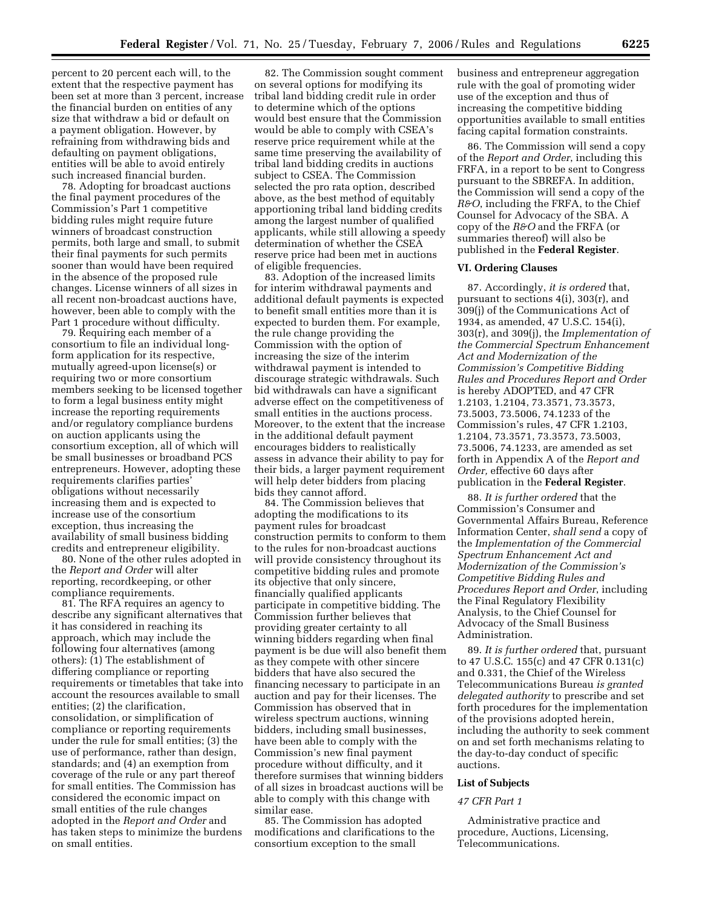percent to 20 percent each will, to the extent that the respective payment has been set at more than 3 percent, increase the financial burden on entities of any size that withdraw a bid or default on a payment obligation. However, by refraining from withdrawing bids and defaulting on payment obligations, entities will be able to avoid entirely such increased financial burden.

78. Adopting for broadcast auctions the final payment procedures of the Commission's Part 1 competitive bidding rules might require future winners of broadcast construction permits, both large and small, to submit their final payments for such permits sooner than would have been required in the absence of the proposed rule changes. License winners of all sizes in all recent non-broadcast auctions have, however, been able to comply with the Part 1 procedure without difficulty.

79. Requiring each member of a consortium to file an individual longform application for its respective, mutually agreed-upon license(s) or requiring two or more consortium members seeking to be licensed together to form a legal business entity might increase the reporting requirements and/or regulatory compliance burdens on auction applicants using the consortium exception, all of which will be small businesses or broadband PCS entrepreneurs. However, adopting these requirements clarifies parties' obligations without necessarily increasing them and is expected to increase use of the consortium exception, thus increasing the availability of small business bidding credits and entrepreneur eligibility.

80. None of the other rules adopted in the *Report and Order* will alter reporting, recordkeeping, or other compliance requirements.

81. The RFA requires an agency to describe any significant alternatives that it has considered in reaching its approach, which may include the following four alternatives (among others): (1) The establishment of differing compliance or reporting requirements or timetables that take into account the resources available to small entities; (2) the clarification, consolidation, or simplification of compliance or reporting requirements under the rule for small entities; (3) the use of performance, rather than design, standards; and (4) an exemption from coverage of the rule or any part thereof for small entities. The Commission has considered the economic impact on small entities of the rule changes adopted in the *Report and Order* and has taken steps to minimize the burdens on small entities.

82. The Commission sought comment on several options for modifying its tribal land bidding credit rule in order to determine which of the options would best ensure that the Commission would be able to comply with CSEA's reserve price requirement while at the same time preserving the availability of tribal land bidding credits in auctions subject to CSEA. The Commission selected the pro rata option, described above, as the best method of equitably apportioning tribal land bidding credits among the largest number of qualified applicants, while still allowing a speedy determination of whether the CSEA reserve price had been met in auctions of eligible frequencies.

83. Adoption of the increased limits for interim withdrawal payments and additional default payments is expected to benefit small entities more than it is expected to burden them. For example, the rule change providing the Commission with the option of increasing the size of the interim withdrawal payment is intended to discourage strategic withdrawals. Such bid withdrawals can have a significant adverse effect on the competitiveness of small entities in the auctions process. Moreover, to the extent that the increase in the additional default payment encourages bidders to realistically assess in advance their ability to pay for their bids, a larger payment requirement will help deter bidders from placing bids they cannot afford.

84. The Commission believes that adopting the modifications to its payment rules for broadcast construction permits to conform to them to the rules for non-broadcast auctions will provide consistency throughout its competitive bidding rules and promote its objective that only sincere, financially qualified applicants participate in competitive bidding. The Commission further believes that providing greater certainty to all winning bidders regarding when final payment is be due will also benefit them as they compete with other sincere bidders that have also secured the financing necessary to participate in an auction and pay for their licenses. The Commission has observed that in wireless spectrum auctions, winning bidders, including small businesses, have been able to comply with the Commission's new final payment procedure without difficulty, and it therefore surmises that winning bidders of all sizes in broadcast auctions will be able to comply with this change with similar ease.

85. The Commission has adopted modifications and clarifications to the consortium exception to the small

business and entrepreneur aggregation rule with the goal of promoting wider use of the exception and thus of increasing the competitive bidding opportunities available to small entities facing capital formation constraints.

86. The Commission will send a copy of the *Report and Order*, including this FRFA, in a report to be sent to Congress pursuant to the SBREFA. In addition, the Commission will send a copy of the *R&O*, including the FRFA, to the Chief Counsel for Advocacy of the SBA. A copy of the *R&O* and the FRFA (or summaries thereof) will also be published in the **Federal Register**.

#### **VI. Ordering Clauses**

87. Accordingly, *it is ordered* that, pursuant to sections 4(i), 303(r), and 309(j) of the Communications Act of 1934, as amended, 47 U.S.C. 154(i), 303(r), and 309(j), the *Implementation of the Commercial Spectrum Enhancement Act and Modernization of the Commission's Competitive Bidding Rules and Procedures Report and Order*  is hereby ADOPTED, and 47 CFR 1.2103, 1.2104, 73.3571, 73.3573, 73.5003, 73.5006, 74.1233 of the Commission's rules, 47 CFR 1.2103, 1.2104, 73.3571, 73.3573, 73.5003, 73.5006, 74.1233, are amended as set forth in Appendix A of the *Report and Order,* effective 60 days after publication in the **Federal Register**.

88. *It is further ordered* that the Commission's Consumer and Governmental Affairs Bureau, Reference Information Center, *shall send* a copy of the *Implementation of the Commercial Spectrum Enhancement Act and Modernization of the Commission's Competitive Bidding Rules and Procedures Report and Order*, including the Final Regulatory Flexibility Analysis, to the Chief Counsel for Advocacy of the Small Business Administration.

89. *It is further ordered* that, pursuant to 47 U.S.C. 155(c) and 47 CFR 0.131(c) and 0.331, the Chief of the Wireless Telecommunications Bureau *is granted delegated authority* to prescribe and set forth procedures for the implementation of the provisions adopted herein, including the authority to seek comment on and set forth mechanisms relating to the day-to-day conduct of specific auctions.

#### **List of Subjects**

#### *47 CFR Part 1*

Administrative practice and procedure, Auctions, Licensing, Telecommunications.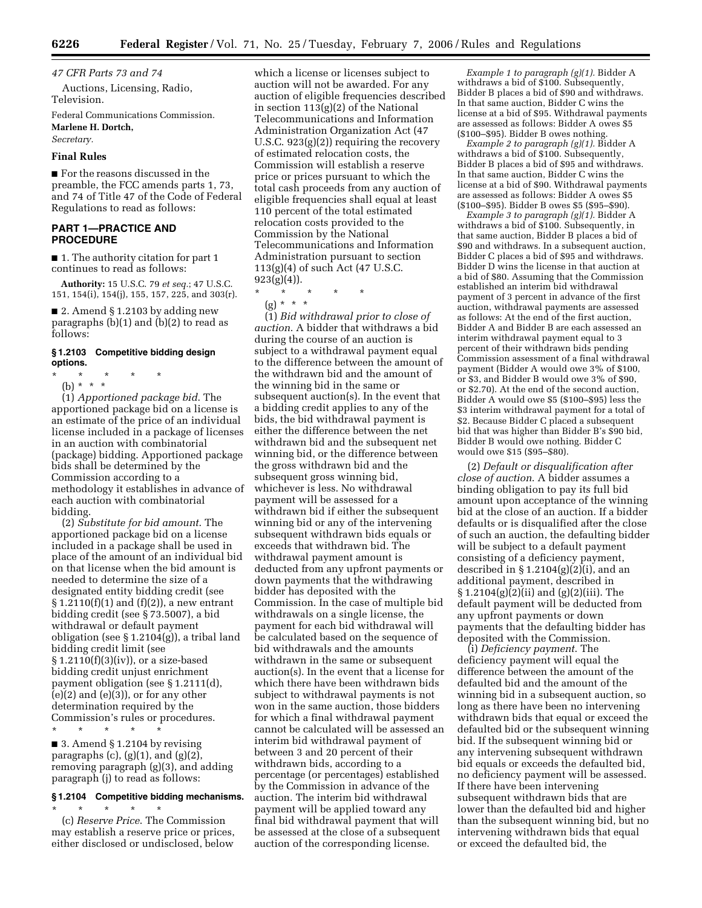*47 CFR Parts 73 and 74* 

Auctions, Licensing, Radio, Television.

Federal Communications Commission. **Marlene H. Dortch,** 

*Secretary.* 

# **Final Rules**

■ For the reasons discussed in the preamble, the FCC amends parts 1, 73, and 74 of Title 47 of the Code of Federal Regulations to read as follows:

# **PART 1—PRACTICE AND PROCEDURE**

■ 1. The authority citation for part 1 continues to read as follows:

**Authority:** 15 U.S.C. 79 *et seq.*; 47 U.S.C. 151, 154(i), 154(j), 155, 157, 225, and 303(r).

■ 2. Amend § 1.2103 by adding new paragraphs (b)(1) and (b)(2) to read as follows:

# **§ 1.2103 Competitive bidding design options.**

- \* \* \* \* \*
	- (b) \* \* \*

(1) *Apportioned package bid*. The apportioned package bid on a license is an estimate of the price of an individual license included in a package of licenses in an auction with combinatorial (package) bidding. Apportioned package bids shall be determined by the Commission according to a methodology it establishes in advance of each auction with combinatorial bidding.

(2) *Substitute for bid amount*. The apportioned package bid on a license included in a package shall be used in place of the amount of an individual bid on that license when the bid amount is needed to determine the size of a designated entity bidding credit (see  $\S 1.2110(f)(1)$  and  $(f)(2)$ ), a new entrant bidding credit (see § 73.5007), a bid withdrawal or default payment obligation (see § 1.2104(g)), a tribal land bidding credit limit (see  $§ 1.2110(f)(3)(iv)$ , or a size-based bidding credit unjust enrichment payment obligation (see § 1.2111(d),  $(e)(2)$  and  $(e)(3)$ , or for any other determination required by the Commission's rules or procedures. \* \* \* \* \*

■ 3. Amend § 1.2104 by revising paragraphs  $(c)$ ,  $(g)(1)$ , and  $(g)(2)$ , removing paragraph (g)(3), and adding paragraph (j) to read as follows:

# **§ 1.2104 Competitive bidding mechanisms.**

\* \* \* \* \* (c) *Reserve Price*. The Commission may establish a reserve price or prices, either disclosed or undisclosed, below

which a license or licenses subject to auction will not be awarded. For any auction of eligible frequencies described in section 113(g)(2) of the National Telecommunications and Information Administration Organization Act (47 U.S.C. 923(g)(2)) requiring the recovery of estimated relocation costs, the Commission will establish a reserve price or prices pursuant to which the total cash proceeds from any auction of eligible frequencies shall equal at least 110 percent of the total estimated relocation costs provided to the Commission by the National Telecommunications and Information Administration pursuant to section 113(g)(4) of such Act (47 U.S.C.  $923(g)(4)$ ).

- \* \* \* \* \*
	- (g) \* \* \*

(1) *Bid withdrawal prior to close of auction*. A bidder that withdraws a bid during the course of an auction is subject to a withdrawal payment equal to the difference between the amount of the withdrawn bid and the amount of the winning bid in the same or subsequent auction(s). In the event that a bidding credit applies to any of the bids, the bid withdrawal payment is either the difference between the net withdrawn bid and the subsequent net winning bid, or the difference between the gross withdrawn bid and the subsequent gross winning bid, whichever is less. No withdrawal payment will be assessed for a withdrawn bid if either the subsequent winning bid or any of the intervening subsequent withdrawn bids equals or exceeds that withdrawn bid. The withdrawal payment amount is deducted from any upfront payments or down payments that the withdrawing bidder has deposited with the Commission. In the case of multiple bid withdrawals on a single license, the payment for each bid withdrawal will be calculated based on the sequence of bid withdrawals and the amounts withdrawn in the same or subsequent auction(s). In the event that a license for which there have been withdrawn bids subject to withdrawal payments is not won in the same auction, those bidders for which a final withdrawal payment cannot be calculated will be assessed an interim bid withdrawal payment of between 3 and 20 percent of their withdrawn bids, according to a percentage (or percentages) established by the Commission in advance of the auction. The interim bid withdrawal payment will be applied toward any final bid withdrawal payment that will be assessed at the close of a subsequent auction of the corresponding license.

*Example 1 to paragraph (g)(1).* Bidder A withdraws a bid of \$100. Subsequently, Bidder B places a bid of \$90 and withdraws. In that same auction, Bidder C wins the license at a bid of \$95. Withdrawal payments are assessed as follows: Bidder A owes \$5 (\$100–\$95). Bidder B owes nothing.

*Example 2 to paragraph (g)(1).* Bidder A withdraws a bid of \$100. Subsequently, Bidder B places a bid of \$95 and withdraws. In that same auction, Bidder C wins the license at a bid of \$90. Withdrawal payments are assessed as follows: Bidder A owes \$5 (\$100–\$95). Bidder B owes \$5 (\$95–\$90).

*Example 3 to paragraph (g)(1).* Bidder A withdraws a bid of \$100. Subsequently, in that same auction, Bidder B places a bid of \$90 and withdraws. In a subsequent auction, Bidder C places a bid of \$95 and withdraws. Bidder D wins the license in that auction at a bid of \$80. Assuming that the Commission established an interim bid withdrawal payment of 3 percent in advance of the first auction, withdrawal payments are assessed as follows: At the end of the first auction, Bidder A and Bidder B are each assessed an interim withdrawal payment equal to 3 percent of their withdrawn bids pending Commission assessment of a final withdrawal payment (Bidder A would owe 3% of \$100, or \$3, and Bidder B would owe 3% of \$90, or \$2.70). At the end of the second auction, Bidder A would owe \$5 (\$100–\$95) less the \$3 interim withdrawal payment for a total of \$2. Because Bidder C placed a subsequent bid that was higher than Bidder B's \$90 bid, Bidder B would owe nothing. Bidder C would owe \$15 (\$95–\$80).

(2) *Default or disqualification after close of auction*. A bidder assumes a binding obligation to pay its full bid amount upon acceptance of the winning bid at the close of an auction. If a bidder defaults or is disqualified after the close of such an auction, the defaulting bidder will be subject to a default payment consisting of a deficiency payment, described in  $\S 1.2104(g)(2)(i)$ , and an additional payment, described in § 1.2104(g)(2)(ii) and (g)(2)(iii). The default payment will be deducted from any upfront payments or down payments that the defaulting bidder has deposited with the Commission.

(i) *Deficiency payment*. The deficiency payment will equal the difference between the amount of the defaulted bid and the amount of the winning bid in a subsequent auction, so long as there have been no intervening withdrawn bids that equal or exceed the defaulted bid or the subsequent winning bid. If the subsequent winning bid or any intervening subsequent withdrawn bid equals or exceeds the defaulted bid, no deficiency payment will be assessed. If there have been intervening subsequent withdrawn bids that are lower than the defaulted bid and higher than the subsequent winning bid, but no intervening withdrawn bids that equal or exceed the defaulted bid, the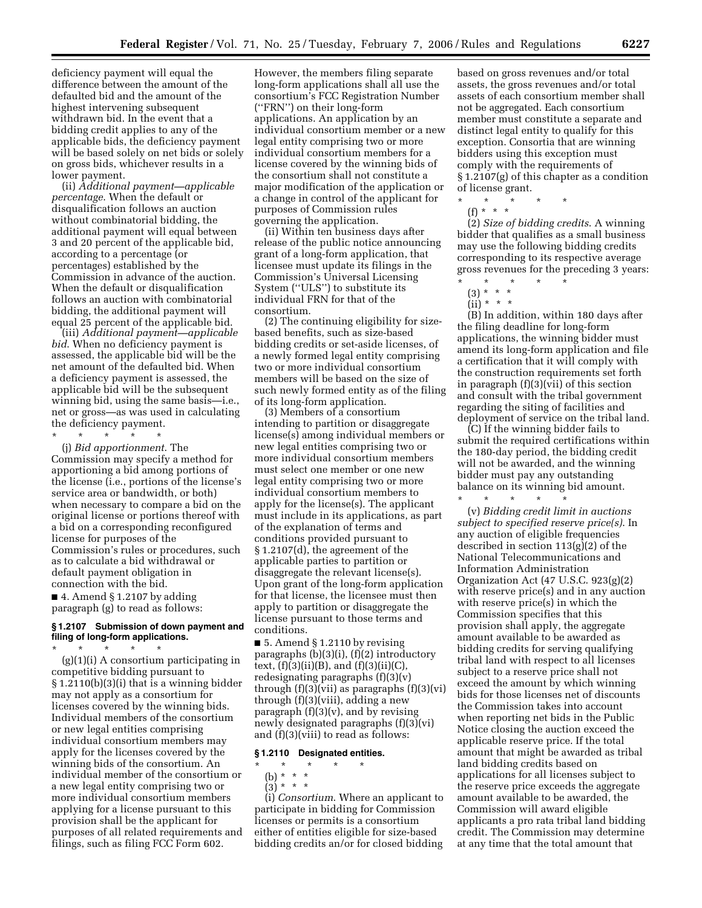deficiency payment will equal the difference between the amount of the defaulted bid and the amount of the highest intervening subsequent withdrawn bid. In the event that a bidding credit applies to any of the applicable bids, the deficiency payment will be based solely on net bids or solely on gross bids, whichever results in a lower payment.

(ii) *Additional payment—applicable percentage*. When the default or disqualification follows an auction without combinatorial bidding, the additional payment will equal between 3 and 20 percent of the applicable bid, according to a percentage (or percentages) established by the Commission in advance of the auction. When the default or disqualification follows an auction with combinatorial bidding, the additional payment will equal 25 percent of the applicable bid.

(iii) *Additional payment—applicable bid*. When no deficiency payment is assessed, the applicable bid will be the net amount of the defaulted bid. When a deficiency payment is assessed, the applicable bid will be the subsequent winning bid, using the same basis—i.e., net or gross—as was used in calculating the deficiency payment.

\* \* \* \* \* (j) *Bid apportionment*. The Commission may specify a method for apportioning a bid among portions of the license (i.e., portions of the license's service area or bandwidth, or both) when necessary to compare a bid on the original license or portions thereof with a bid on a corresponding reconfigured license for purposes of the Commission's rules or procedures, such as to calculate a bid withdrawal or default payment obligation in connection with the bid.

 $\blacksquare$  4. Amend § 1.2107 by adding paragraph (g) to read as follows:

# **§ 1.2107 Submission of down payment and filing of long-form applications.**

\* \* \* \* \* (g)(1)(i) A consortium participating in competitive bidding pursuant to § 1.2110(b)(3)(i) that is a winning bidder may not apply as a consortium for licenses covered by the winning bids. Individual members of the consortium or new legal entities comprising individual consortium members may apply for the licenses covered by the winning bids of the consortium. An individual member of the consortium or a new legal entity comprising two or more individual consortium members applying for a license pursuant to this provision shall be the applicant for purposes of all related requirements and filings, such as filing FCC Form 602.

However, the members filing separate long-form applications shall all use the consortium's FCC Registration Number (''FRN'') on their long-form applications. An application by an individual consortium member or a new legal entity comprising two or more individual consortium members for a license covered by the winning bids of the consortium shall not constitute a major modification of the application or a change in control of the applicant for purposes of Commission rules governing the application.

(ii) Within ten business days after release of the public notice announcing grant of a long-form application, that licensee must update its filings in the Commission's Universal Licensing System (''ULS'') to substitute its individual FRN for that of the consortium.

(2) The continuing eligibility for sizebased benefits, such as size-based bidding credits or set-aside licenses, of a newly formed legal entity comprising two or more individual consortium members will be based on the size of such newly formed entity as of the filing of its long-form application.

(3) Members of a consortium intending to partition or disaggregate license(s) among individual members or new legal entities comprising two or more individual consortium members must select one member or one new legal entity comprising two or more individual consortium members to apply for the license(s). The applicant must include in its applications, as part of the explanation of terms and conditions provided pursuant to § 1.2107(d), the agreement of the applicable parties to partition or disaggregate the relevant license(s). Upon grant of the long-form application for that license, the licensee must then apply to partition or disaggregate the license pursuant to those terms and conditions.

■ 5. Amend § 1.2110 by revising paragraphs (b)(3)(i), (f)(2) introductory text,  $(f)(3)(ii)(B)$ , and  $(f)(3)(ii)(C)$ , redesignating paragraphs (f)(3)(v) through (f)(3)(vii) as paragraphs (f)(3)(vi) through (f)(3)(viii), adding a new paragraph  $(f)(3)(v)$ , and by revising newly designated paragraphs (f)(3)(vi) and (f)(3)(viii) to read as follows:

### **§ 1.2110 Designated entities.**

# \* \* \* \* \*

- (b) \* \* \*
- $(3) * * * *$

(i) *Consortium*. Where an applicant to participate in bidding for Commission licenses or permits is a consortium either of entities eligible for size-based bidding credits an/or for closed bidding based on gross revenues and/or total assets, the gross revenues and/or total assets of each consortium member shall not be aggregated. Each consortium member must constitute a separate and distinct legal entity to qualify for this exception. Consortia that are winning bidders using this exception must comply with the requirements of § 1.2107(g) of this chapter as a condition of license grant.

\* \* \* \* \* (f) \* \* \*

(2) *Size of bidding credits*. A winning bidder that qualifies as a small business may use the following bidding credits corresponding to its respective average gross revenues for the preceding 3 years:

(3) \* \* \*

(B) In addition, within 180 days after the filing deadline for long-form applications, the winning bidder must amend its long-form application and file a certification that it will comply with the construction requirements set forth in paragraph  $(f)(3)(\overline{v}i)$  of this section and consult with the tribal government regarding the siting of facilities and deployment of service on the tribal land.

(C) If the winning bidder fails to submit the required certifications within the 180-day period, the bidding credit will not be awarded, and the winning bidder must pay any outstanding balance on its winning bid amount.

\* \* \* \* \* (v) *Bidding credit limit in auctions subject to specified reserve price(s)*. In any auction of eligible frequencies described in section 113(g)(2) of the National Telecommunications and Information Administration Organization Act (47 U.S.C. 923(g)(2) with reserve price(s) and in any auction with reserve price(s) in which the Commission specifies that this provision shall apply, the aggregate amount available to be awarded as bidding credits for serving qualifying tribal land with respect to all licenses subject to a reserve price shall not exceed the amount by which winning bids for those licenses net of discounts the Commission takes into account when reporting net bids in the Public Notice closing the auction exceed the applicable reserve price. If the total amount that might be awarded as tribal land bidding credits based on applications for all licenses subject to the reserve price exceeds the aggregate amount available to be awarded, the Commission will award eligible applicants a pro rata tribal land bidding credit. The Commission may determine at any time that the total amount that

<sup>\* \* \* \* \*</sup> 

 $(ii) * * * *$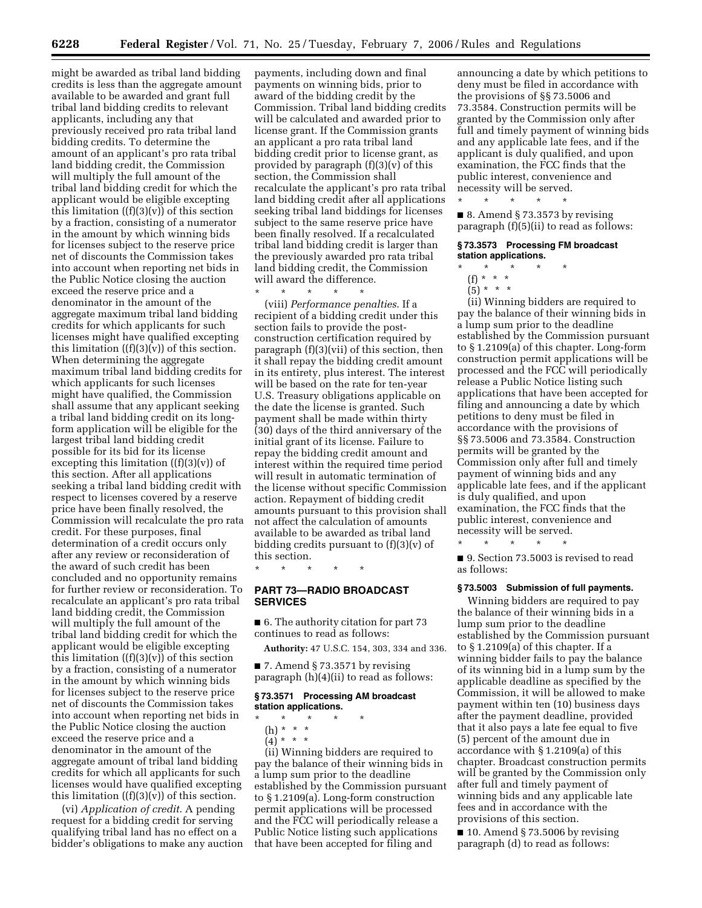might be awarded as tribal land bidding credits is less than the aggregate amount available to be awarded and grant full tribal land bidding credits to relevant applicants, including any that previously received pro rata tribal land bidding credits. To determine the amount of an applicant's pro rata tribal land bidding credit, the Commission will multiply the full amount of the tribal land bidding credit for which the applicant would be eligible excepting this limitation  $((f)(3)(v))$  of this section by a fraction, consisting of a numerator in the amount by which winning bids for licenses subject to the reserve price net of discounts the Commission takes into account when reporting net bids in the Public Notice closing the auction exceed the reserve price and a denominator in the amount of the aggregate maximum tribal land bidding credits for which applicants for such licenses might have qualified excepting this limitation  $((f)(3)(v))$  of this section. When determining the aggregate maximum tribal land bidding credits for which applicants for such licenses might have qualified, the Commission shall assume that any applicant seeking a tribal land bidding credit on its longform application will be eligible for the largest tribal land bidding credit possible for its bid for its license excepting this limitation  $((f)(3)(v))$  of this section. After all applications seeking a tribal land bidding credit with respect to licenses covered by a reserve price have been finally resolved, the Commission will recalculate the pro rata credit. For these purposes, final determination of a credit occurs only after any review or reconsideration of the award of such credit has been concluded and no opportunity remains for further review or reconsideration. To recalculate an applicant's pro rata tribal land bidding credit, the Commission will multiply the full amount of the tribal land bidding credit for which the applicant would be eligible excepting this limitation  $((f)(3)(v))$  of this section by a fraction, consisting of a numerator in the amount by which winning bids for licenses subject to the reserve price net of discounts the Commission takes into account when reporting net bids in the Public Notice closing the auction exceed the reserve price and a denominator in the amount of the aggregate amount of tribal land bidding credits for which all applicants for such licenses would have qualified excepting this limitation  $((f)(3)(v))$  of this section.

(vi) *Application of credit*. A pending request for a bidding credit for serving qualifying tribal land has no effect on a bidder's obligations to make any auction payments, including down and final payments on winning bids, prior to award of the bidding credit by the Commission. Tribal land bidding credits will be calculated and awarded prior to license grant. If the Commission grants an applicant a pro rata tribal land bidding credit prior to license grant, as provided by paragraph (f)(3)(v) of this section, the Commission shall recalculate the applicant's pro rata tribal land bidding credit after all applications seeking tribal land biddings for licenses subject to the same reserve price have been finally resolved. If a recalculated tribal land bidding credit is larger than the previously awarded pro rata tribal land bidding credit, the Commission will award the difference.

\* \* \* \* \*

(viii) *Performance penalties*. If a recipient of a bidding credit under this section fails to provide the postconstruction certification required by paragraph (f)(3)(vii) of this section, then it shall repay the bidding credit amount in its entirety, plus interest. The interest will be based on the rate for ten-year U.S. Treasury obligations applicable on the date the license is granted. Such payment shall be made within thirty (30) days of the third anniversary of the initial grant of its license. Failure to repay the bidding credit amount and interest within the required time period will result in automatic termination of the license without specific Commission action. Repayment of bidding credit amounts pursuant to this provision shall not affect the calculation of amounts available to be awarded as tribal land bidding credits pursuant to (f)(3)(v) of this section.

**PART 73—RADIO BROADCAST SERVICES** 

\* \* \* \* \*

■ 6. The authority citation for part 73 continues to read as follows:

**Authority:** 47 U.S.C. 154, 303, 334 and 336.

■ 7. Amend § 73.3571 by revising paragraph (h)(4)(ii) to read as follows:

### **§ 73.3571 Processing AM broadcast station applications.**

- \* \* \* \* \*
	- (h) \* \* \*
	- $(4)^{\ast}$  \* \*

(ii) Winning bidders are required to pay the balance of their winning bids in a lump sum prior to the deadline established by the Commission pursuant to § 1.2109(a). Long-form construction permit applications will be processed and the FCC will periodically release a Public Notice listing such applications that have been accepted for filing and

announcing a date by which petitions to deny must be filed in accordance with the provisions of §§ 73.5006 and 73.3584. Construction permits will be granted by the Commission only after full and timely payment of winning bids and any applicable late fees, and if the applicant is duly qualified, and upon examination, the FCC finds that the public interest, convenience and necessity will be served.

 $\blacksquare$  8. Amend § 73.3573 by revising paragraph (f)(5)(ii) to read as follows:

## **§ 73.3573 Processing FM broadcast station applications.**

\* \* \* \* \*

\* \* \* \* \*

(f) \* \* \*  $(5) * * * *$ 

(ii) Winning bidders are required to pay the balance of their winning bids in a lump sum prior to the deadline established by the Commission pursuant to § 1.2109(a) of this chapter. Long-form construction permit applications will be processed and the FCC will periodically release a Public Notice listing such applications that have been accepted for filing and announcing a date by which petitions to deny must be filed in accordance with the provisions of §§ 73.5006 and 73.3584. Construction permits will be granted by the Commission only after full and timely payment of winning bids and any applicable late fees, and if the applicant is duly qualified, and upon examination, the FCC finds that the public interest, convenience and necessity will be served.

\* \* \* \* \*

■ 9. Section 73.5003 is revised to read as follows:

#### **§ 73.5003 Submission of full payments.**

Winning bidders are required to pay the balance of their winning bids in a lump sum prior to the deadline established by the Commission pursuant to § 1.2109(a) of this chapter. If a winning bidder fails to pay the balance of its winning bid in a lump sum by the applicable deadline as specified by the Commission, it will be allowed to make payment within ten (10) business days after the payment deadline, provided that it also pays a late fee equal to five (5) percent of the amount due in accordance with § 1.2109(a) of this chapter. Broadcast construction permits will be granted by the Commission only after full and timely payment of winning bids and any applicable late fees and in accordance with the provisions of this section.

 $\blacksquare$  10. Amend § 73.5006 by revising paragraph (d) to read as follows: